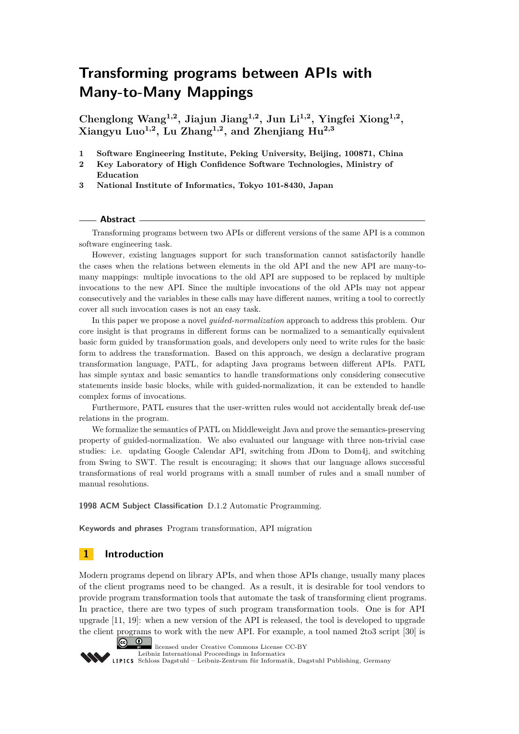**Chenglong Wang1,2, Jiajun Jiang1,2, Jun Li1,2, Yingfei Xiong1,2 , Xiangyu Luo1,2, Lu Zhang1,2, and Zhenjiang Hu2,3**

- **1 Software Engineering Institute, Peking University, Beijing, 100871, China**
- **2 Key Laboratory of High Confidence Software Technologies, Ministry of Education**

**3 National Institute of Informatics, Tokyo 101-8430, Japan**

#### **Abstract**

Transforming programs between two APIs or different versions of the same API is a common software engineering task.

However, existing languages support for such transformation cannot satisfactorily handle the cases when the relations between elements in the old API and the new API are many-tomany mappings: multiple invocations to the old API are supposed to be replaced by multiple invocations to the new API. Since the multiple invocations of the old APIs may not appear consecutively and the variables in these calls may have different names, writing a tool to correctly cover all such invocation cases is not an easy task.

In this paper we propose a novel *guided-normalization* approach to address this problem. Our core insight is that programs in different forms can be normalized to a semantically equivalent basic form guided by transformation goals, and developers only need to write rules for the basic form to address the transformation. Based on this approach, we design a declarative program transformation language, PATL, for adapting Java programs between different APIs. PATL has simple syntax and basic semantics to handle transformations only considering consecutive statements inside basic blocks, while with guided-normalization, it can be extended to handle complex forms of invocations.

Furthermore, PATL ensures that the user-written rules would not accidentally break def-use relations in the program.

We formalize the semantics of PATL on Middleweight Java and prove the semantics-preserving property of guided-normalization. We also evaluated our language with three non-trivial case studies: i.e. updating Google Calendar API, switching from JDom to Dom4j, and switching from Swing to SWT. The result is encouraging; it shows that our language allows successful transformations of real world programs with a small number of rules and a small number of manual resolutions.

**1998 ACM Subject Classification** D.1.2 Automatic Programming.

**Keywords and phrases** Program transformation, API migration

# <span id="page-0-0"></span>**1 Introduction**

Modern programs depend on library APIs, and when those APIs change, usually many places of the client programs need to be changed. As a result, it is desirable for tool vendors to provide program transformation tools that automate the task of transforming client programs. In practice, there are two types of such program transformation tools. One is for API upgrade [\[11,](#page-24-0) [19\]](#page-24-1): when a new version of the API is released, the tool is developed to upgrade the client programs to work with the new API. For example, a tool named 2to3 script [\[30\]](#page-25-0) is



licensed under Creative Commons License CC-BY

[Leibniz International Proceedings in Informatics](http://www.dagstuhl.de/lipics/) [Schloss Dagstuhl – Leibniz-Zentrum für Informatik, Dagstuhl Publishing, Germany](http://www.dagstuhl.de)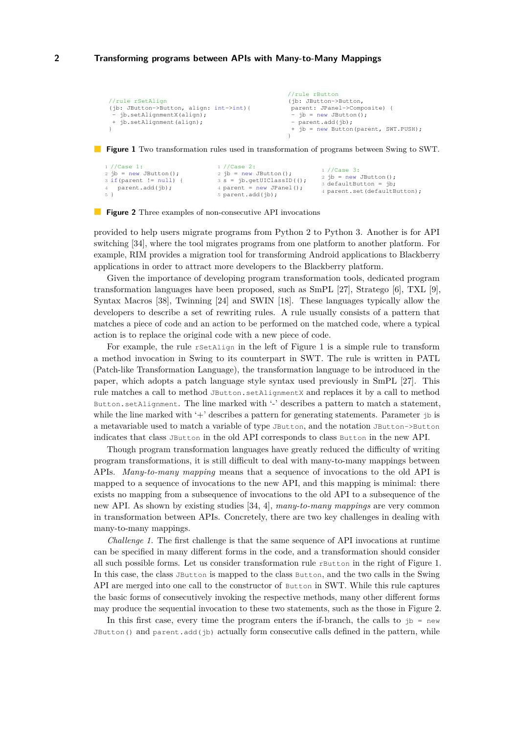```
//rule rSetAlign
(jb: JButton->Button, align: int->int){
- jb.setAlignmentX(align);
  jb.setAlignment(align);
}
                                                   //rule rButton
                                                   (ib: JButton->Button,
                                                    parent: JPanel->Composite) {
                                                    - jb = new JButton();
                                                    - parent.add(ib):
                                                    + jb = new Button(parent, SWT.PUSH);
                                                   \lambda
```
<span id="page-1-1"></span>**Figure 1** Two transformation rules used in transformation of programs between Swing to SWT.

```
1 //Case 1:
2 jb = new JButton();
3 if(parent != null) {
4 parent.add(jb);
\frac{4}{5} }
                                  1 //Case 2:
                                  2 jb = new JButton();
                                  3 \text{ s} = \text{jb.getUIClassID} ();
                                   4 parent = new JPanel();
                                  5 parent.add(jb);
                                                                   1 //Case 3:
                                                                   2 ib = new JButton():
                                                                   3 defaultButton = jb;4 parent.set(defaultButton);
```
**Figure 2** Three examples of non-consecutive API invocations

provided to help users migrate programs from Python 2 to Python 3. Another is for API switching [\[34\]](#page-25-1), where the tool migrates programs from one platform to another platform. For example, RIM provides a migration tool for transforming Android applications to Blackberry applications in order to attract more developers to the Blackberry platform.

Given the importance of developing program transformation tools, dedicated program transformation languages have been proposed, such as SmPL [\[27\]](#page-25-2), Stratego [\[6\]](#page-24-2), TXL [\[9\]](#page-24-3), Syntax Macros [\[38\]](#page-25-3), Twinning [\[24\]](#page-24-4) and SWIN [\[18\]](#page-24-5). These languages typically allow the developers to describe a set of rewriting rules. A rule usually consists of a pattern that matches a piece of code and an action to be performed on the matched code, where a typical action is to replace the original code with a new piece of code.

For example, the rule rsetalign in the left of Figure [1](#page-1-0) is a simple rule to transform a method invocation in Swing to its counterpart in SWT. The rule is written in PATL (Patch-like Transformation Language), the transformation language to be introduced in the paper, which adopts a patch language style syntax used previously in SmPL [\[27\]](#page-25-2). This rule matches a call to method JButton.setAlignmentX and replaces it by a call to method Button.setAlignment. The line marked with '-' describes a pattern to match a statement, while the line marked with  $+$ ' describes a pattern for generating statements. Parameter  $\beta$  is a metavariable used to match a variable of type JButton, and the notation JButton->Button indicates that class JButton in the old API corresponds to class Button in the new API.

Though program transformation languages have greatly reduced the difficulty of writing program transformations, it is still difficult to deal with many-to-many mappings between APIs. *Many-to-many mapping* means that a sequence of invocations to the old API is mapped to a sequence of invocations to the new API, and this mapping is minimal: there exists no mapping from a subsequence of invocations to the old API to a subsequence of the new API. As shown by existing studies [\[34,](#page-25-1) [4\]](#page-24-6), *many-to-many mappings* are very common in transformation between APIs. Concretely, there are two key challenges in dealing with many-to-many mappings.

*Challenge 1.* The first challenge is that the same sequence of API invocations at runtime can be specified in many different forms in the code, and a transformation should consider all such possible forms. Let us consider transformation rule rButton in the right of Figure [1.](#page-1-0) In this case, the class JButton is mapped to the class Button, and the two calls in the Swing API are merged into one call to the constructor of Button in SWT. While this rule captures the basic forms of consecutively invoking the respective methods, many other different forms may produce the sequential invocation to these two statements, such as the those in Figure [2.](#page-1-1)

In this first case, every time the program enters the if-branch, the calls to  $\beta$  = new JButton() and parent.add( $\phi$ ) actually form consecutive calls defined in the pattern, while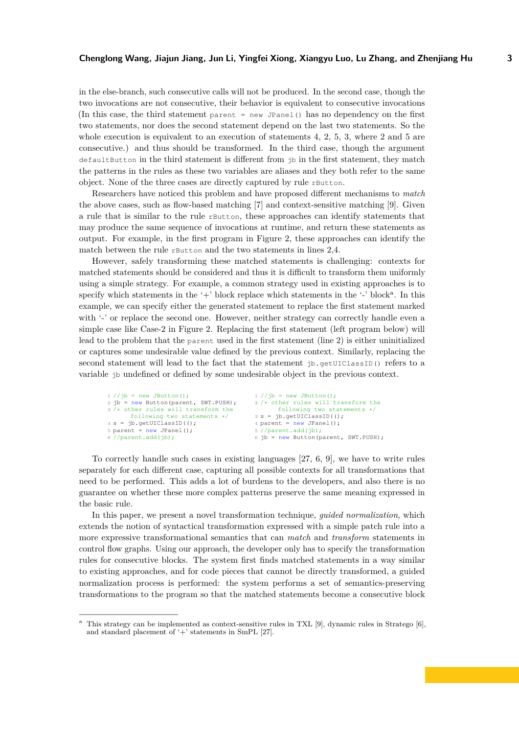in the else-branch, such consecutive calls will not be produced. In the second case, though the two invocations are not consecutive, their behavior is equivalent to consecutive invocations (In this case, the third statement parent = new JPanel() has no dependency on the first two statements, nor does the second statement depend on the last two statements. So the whole execution is equivalent to an execution of statements 4, 2, 5, 3, where 2 and 5 are consecutive.) and thus should be transformed. In the third case, though the argument defaultButton in the third statement is different from jb in the first statement, they match the patterns in the rules as these two variables are aliases and they both refer to the same object. None of the three cases are directly captured by rule rButton.

Researchers have noticed this problem and have proposed different mechanisms to *match* the above cases, such as flow-based matching [\[7\]](#page-24-7) and context-sensitive matching [\[9\]](#page-24-3). Given a rule that is similar to the rule rButton, these approaches can identify statements that may produce the same sequence of invocations at runtime, and return these statements as output. For example, in the first program in Figure [2,](#page-1-1) these approaches can identify the match between the rule rButton and the two statements in lines 2,4.

However, safely transforming these matched statements is challenging: contexts for matched statements should be considered and thus it is difficult to transform them uniformly using a simple strategy. For example, a common strategy used in existing approaches is to specify which st[a](#page-2-0)tements in the '+' block replace which statements in the '-' block<sup>a</sup>. In this example, we can specify either the generated statement to replace the first statement marked with '-' or replace the second one. However, neither strategy can correctly handle even a simple case like Case-2 in Figure [2.](#page-1-1) Replacing the first statement (left program below) will lead to the problem that the parent used in the first statement (line 2) is either uninitialized or captures some undesirable value defined by the previous context. Similarly, replacing the second statement will lead to the fact that the statement jb.getUIClassID() refers to a variable jb undefined or defined by some undesirable object in the previous context.

```
1 //jb = new JButton();2 jb = new Button(parent, SWT.PUSH);
3 /* other rules will transform the
      following two statements */
4 s = jb.getUIClassID(();
5 parent = new JPanel();
6 //parent.add(jb);
                                         1 //jb = new JButton();2 /* other rules will transform the
                                               following two statements */
                                         3 s = ib.getUIClassID();
                                         4 parent = new JPanel();
                                         5 //parent.add(jb);
                                         6 jb = new Button(parent, SWT.PUSH);
```
To correctly handle such cases in existing languages [\[27,](#page-25-2) [6,](#page-24-2) [9\]](#page-24-3), we have to write rules separately for each different case, capturing all possible contexts for all transformations that need to be performed. This adds a lot of burdens to the developers, and also there is no guarantee on whether these more complex patterns preserve the same meaning expressed in the basic rule.

In this paper, we present a novel transformation technique, *guided normalization*, which extends the notion of syntactical transformation expressed with a simple patch rule into a more expressive transformational semantics that can *match* and *transform* statements in control flow graphs. Using our approach, the developer only has to specify the transformation rules for consecutive blocks. The system first finds matched statements in a way similar to existing approaches, and for code pieces that cannot be directly transformed, a guided normalization process is performed: the system performs a set of semantics-preserving transformations to the program so that the matched statements become a consecutive block

<span id="page-2-0"></span><sup>&</sup>lt;sup>a</sup> This strategy can be implemented as context-sensitive rules in TXL [\[9\]](#page-24-3), dynamic rules in Stratego [\[6\]](#page-24-2), and standard placement of '+' statements in SmPL [\[27\]](#page-25-2).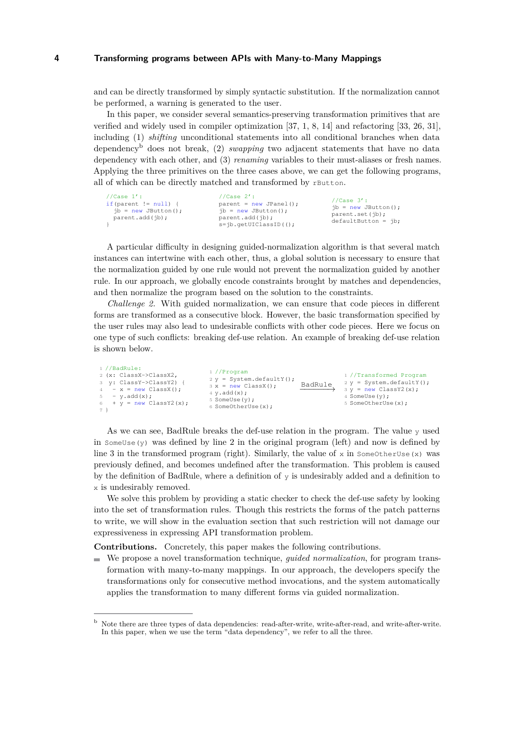and can be directly transformed by simply syntactic substitution. If the normalization cannot be performed, a warning is generated to the user.

In this paper, we consider several semantics-preserving transformation primitives that are verified and widely used in compiler optimization [\[37,](#page-25-4) [1,](#page-23-0) [8,](#page-24-8) [14\]](#page-24-9) and refactoring [\[33,](#page-25-5) [26,](#page-25-6) [31\]](#page-25-7), including (1) *shifting* unconditional statements into all conditional branches when data dependency[b](#page-3-0) does not break, (2) *swapping* two adjacent statements that have no data dependency with each other, and (3) *renaming* variables to their must-aliases or fresh names. Applying the three primitives on the three cases above, we can get the following programs, all of which can be directly matched and transformed by rButton.

| //Case $1':$            | //Case $2'$ :             | //Case $3'$ :          |
|-------------------------|---------------------------|------------------------|
| if (parent $!=$ null) { | $parent = new JPanel();$  | $jb = new JButton()$ ; |
| $ib = new JButton()$ ;  | $ib = new JButton()$ ;    | parent.set(ib);        |
| parent.add(ib);         | parent.add(ib);           | $defaultButton = ib;$  |
|                         | $s = ib.getUIClassID()$ ; |                        |

A particular difficulty in designing guided-normalization algorithm is that several match instances can intertwine with each other, thus, a global solution is necessary to ensure that the normalization guided by one rule would not prevent the normalization guided by another rule. In our approach, we globally encode constraints brought by matches and dependencies, and then normalize the program based on the solution to the constraints.

*Challenge 2.* With guided normalization, we can ensure that code pieces in different forms are transformed as a consecutive block. However, the basic transformation specified by the user rules may also lead to undesirable conflicts with other code pieces. Here we focus on one type of such conflicts: breaking def-use relation. An example of breaking def-use relation is shown below.

As we can see, BadRule breaks the def-use relation in the program. The value y used in  $SomeUse(y)$  was defined by line 2 in the original program (left) and now is defined by line 3 in the transformed program (right). Similarly, the value of  $x$  in SomeOtherUse(x) was previously defined, and becomes undefined after the transformation. This problem is caused by the definition of BadRule, where a definition of y is undesirably added and a definition to x is undesirably removed.

We solve this problem by providing a static checker to check the def-use safety by looking into the set of transformation rules. Though this restricts the forms of the patch patterns to write, we will show in the evaluation section that such restriction will not damage our expressiveness in expressing API transformation problem.

**Contributions.** Concretely, this paper makes the following contributions.

We propose a novel transformation technique, *guided normalization*, for program transformation with many-to-many mappings. In our approach, the developers specify the transformations only for consecutive method invocations, and the system automatically applies the transformation to many different forms via guided normalization.

<span id="page-3-0"></span><sup>b</sup> Note there are three types of data dependencies: read-after-write, write-after-read, and write-after-write. In this paper, when we use the term "data dependency", we refer to all the three.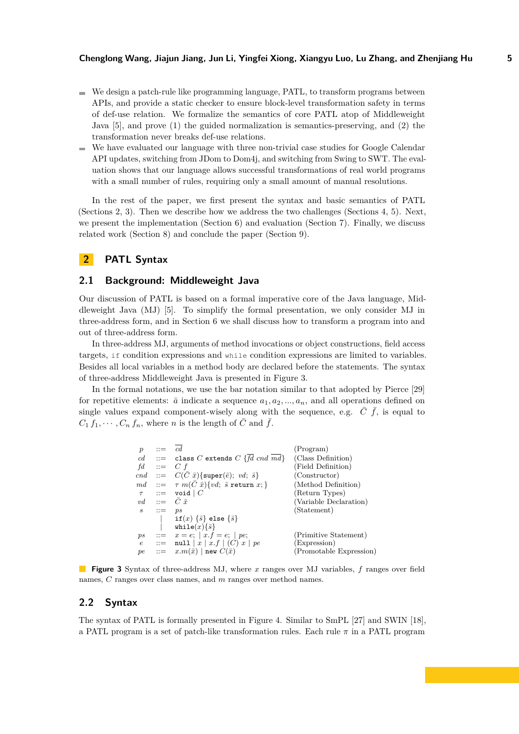- $\blacksquare$  We design a patch-rule like programming language, PATL, to transform programs between APIs, and provide a static checker to ensure block-level transformation safety in terms of def-use relation. We formalize the semantics of core PATL atop of Middleweight Java [\[5\]](#page-24-10), and prove (1) the guided normalization is semantics-preserving, and (2) the transformation never breaks def-use relations.
- We have evaluated our language with three non-trivial case studies for Google Calendar  $\blacksquare$ API updates, switching from JDom to Dom4j, and switching from Swing to SWT. The evaluation shows that our language allows successful transformations of real world programs with a small number of rules, requiring only a small amount of manual resolutions.

In the rest of the paper, we first present the syntax and basic semantics of PATL (Sections [2,](#page-4-0) [3\)](#page-5-0). Then we describe how we address the two challenges (Sections [4,](#page-7-0) [5\)](#page-8-0). Next, we present the implementation (Section [6\)](#page-17-0) and evaluation (Section [7\)](#page-17-1). Finally, we discuss related work (Section [8\)](#page-22-0) and conclude the paper (Section [9\)](#page-23-1).

# <span id="page-4-0"></span>**2 PATL Syntax**

## **2.1 Background: Middleweight Java**

Our discussion of PATL is based on a formal imperative core of the Java language, Middleweight Java (MJ) [\[5\]](#page-24-10). To simplify the formal presentation, we only consider MJ in three-address form, and in Section [6](#page-17-0) we shall discuss how to transform a program into and out of three-address form.

In three-address MJ, arguments of method invocations or object constructions, field access targets, if condition expressions and while condition expressions are limited to variables. Besides all local variables in a method body are declared before the statements. The syntax of three-address Middleweight Java is presented in Figure [3.](#page-4-1)

<span id="page-4-1"></span>In the formal notations, we use the bar notation similar to that adopted by Pierce [\[29\]](#page-25-8) for repetitive elements:  $\bar{a}$  indicate a sequence  $a_1, a_2, \ldots, a_n$ , and all operations defined on single values expand component-wisely along with the sequence, e.g.  $\bar{C}$   $\bar{f}$ , is equal to  $C_1 f_1, \cdots, C_n f_n$ , where *n* is the length of  $\overline{C}$  and  $\overline{f}$ .

| $\mathbf{r} =$ | $\overline{cd}$                        | (Program)                                                                                                                                                                                                                                                                                                                                                                                                                                                                           |
|----------------|----------------------------------------|-------------------------------------------------------------------------------------------------------------------------------------------------------------------------------------------------------------------------------------------------------------------------------------------------------------------------------------------------------------------------------------------------------------------------------------------------------------------------------------|
|                |                                        | (Class Definition)                                                                                                                                                                                                                                                                                                                                                                                                                                                                  |
|                |                                        | (Field Definition)                                                                                                                                                                                                                                                                                                                                                                                                                                                                  |
|                |                                        | (Constructor)                                                                                                                                                                                                                                                                                                                                                                                                                                                                       |
|                |                                        | (Method Definition)                                                                                                                                                                                                                                                                                                                                                                                                                                                                 |
|                |                                        | (Return Types)                                                                                                                                                                                                                                                                                                                                                                                                                                                                      |
|                |                                        | (Variable Declaration)                                                                                                                                                                                                                                                                                                                                                                                                                                                              |
|                |                                        | (Statement)                                                                                                                                                                                                                                                                                                                                                                                                                                                                         |
|                | if(x) $\{\bar{s}\}$ else $\{\bar{s}\}$ |                                                                                                                                                                                                                                                                                                                                                                                                                                                                                     |
|                |                                        |                                                                                                                                                                                                                                                                                                                                                                                                                                                                                     |
|                |                                        | (Primitive Statement)                                                                                                                                                                                                                                                                                                                                                                                                                                                               |
|                |                                        | (Expression)                                                                                                                                                                                                                                                                                                                                                                                                                                                                        |
|                |                                        | (Promotable Expression)                                                                                                                                                                                                                                                                                                                                                                                                                                                             |
|                |                                        | $cd$ ::= class C extends C {fd cnd md}<br>$\cdots = C f$<br>$\ ::= C(C \ \bar{x}) \{ \text{super}(\bar{e}); \ v d; \ \bar{s} \}$<br>$\;\; ::= \;\;\; \tau \; m(\bar C\; \bar x) \{ v d; \; \bar s \; \texttt{return}\; x; \}$<br>$\ ::= \ \ \texttt{void} \mid C$<br>vd ::= $C \bar{x}$<br>$s \quad ::= \quad ps$<br>while $(x)$ $\{\bar{s}\}$<br>$\therefore = x = e;  x.f = e;  pe;$<br>$ ::= \text{null}   x   x.f   (C) x   pe$<br>$\therefore = x.m(\bar{x})$ new $C(\bar{x})$ |

**Figure 3** Syntax of three-address MJ, where *x* ranges over MJ variables, *f* ranges over field names, *C* ranges over class names, and *m* ranges over method names.

## **2.2 Syntax**

The syntax of PATL is formally presented in Figure [4.](#page-5-1) Similar to SmPL [\[27\]](#page-25-2) and SWIN [\[18\]](#page-24-5), a PATL program is a set of patch-like transformation rules. Each rule *π* in a PATL program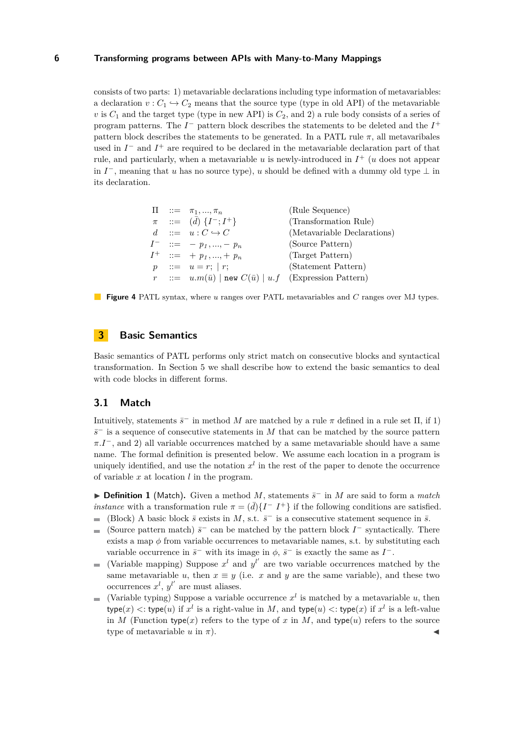consists of two parts: 1) metavariable declarations including type information of metavariables: a declaration  $v : C_1 \hookrightarrow C_2$  means that the source type (type in old API) of the metavariable  $v$  is  $C_1$  and the target type (type in new API) is  $C_2$ , and 2) a rule body consists of a series of program patterns. The  $I^-$  pattern block describes the statements to be deleted and the  $I^+$ pattern block describes the statements to be generated. In a PATL rule  $\pi$ , all metavaribales used in  $I^-$  and  $I^+$  are required to be declared in the metavariable declaration part of that rule, and particularly, when a metavariable *u* is newly-introduced in *I* <sup>+</sup> (*u* does not appear in  $I^-$ , meaning that *u* has no source type), *u* should be defined with a dummy old type  $\perp$  in its declaration.

<span id="page-5-1"></span>

|  | $\Pi$ ::= $\pi_1, , \pi_n$                                          | (Rule Sequence)             |
|--|---------------------------------------------------------------------|-----------------------------|
|  | $\pi$ ::= $(d)$ $\{I^-; I^+\}$                                      | (Transformation Rule)       |
|  | $d \quad ::= \quad u: C \hookrightarrow C$                          | (Metavariable Declarations) |
|  | $I^-$ ::= $-p_1, , -p_n$                                            | (Source Pattern)            |
|  | $I^+$ ::= + $p_1, , + p_n$                                          | (Target Pattern)            |
|  | $p$ ::= $u = r$ ;   r;                                              | (Statement Pattern)         |
|  | $r := u.m(\bar{u})$   new $C(\bar{u})$   $u.f$ (Expression Pattern) |                             |

**Figure 4** PATL syntax, where *u* ranges over PATL metavariables and *C* ranges over MJ types.

# <span id="page-5-0"></span>**3 Basic Semantics**

Basic semantics of PATL performs only strict match on consecutive blocks and syntactical transformation. In Section [5](#page-8-0) we shall describe how to extend the basic semantics to deal with code blocks in different forms.

#### **3.1 Match**

Intuitively, statements  $\bar{s}^-$  in method *M* are matched by a rule  $\pi$  defined in a rule set  $\Pi$ , if 1)  $\bar{s}$ <sup>−</sup> is a sequence of consecutive statements in *M* that can be matched by the source pattern  $\pi.I^-$ , and 2) all variable occurrences matched by a same metavariable should have a same name. The formal definition is presented below. We assume each location in a program is uniquely identified, and use the notation  $x^l$  in the rest of the paper to denote the occurrence of variable *x* at location *l* in the program.

<span id="page-5-2"></span>► **Definition 1** (Match). Given a method *M*, statements  $\bar{s}^-$  in *M* are said to form a *match instance* with a transformation rule  $\pi = (\bar{d})\{I - I^+\}$  if the following conditions are satisfied.

- (Block) A basic block  $\bar{s}$  exists in *M*, s.t.  $\bar{s}^-$  is a consecutive statement sequence in  $\bar{s}$ .
- (Source pattern match)  $\bar{s}^-$  can be matched by the pattern block  $I^-$  syntactically. There  $\equiv$ exists a map  $\phi$  from variable occurrences to metavariable names, s.t. by substituting each variable occurrence in  $\bar{s}^-$  with its image in  $\phi$ ,  $\bar{s}^-$  is exactly the same as  $I^-$ .
- (Variable mapping) Suppose  $x^l$  and  $y^{l'}$  are two variable occurrences matched by the  $\blacksquare$ same metavariable *u*, then  $x \equiv y$  (i.e. *x* and *y* are the same variable), and these two occurrences  $x^l$ ,  $y^{l'}$  are must aliases.
- (Variable typing) Suppose a variable occurrence  $x^l$  is matched by a metavariable  $u$ , then ÷.  $\mathsf{type}(x) \leq \mathsf{type}(u) \text{ if } x^l \text{ is a right-value in } M, \text{ and } \mathsf{type}(u) \leq \mathsf{type}(x) \text{ if } x^l \text{ is a left-value}$ in *M* (Function type(*x*) refers to the type of *x* in *M*, and type(*u*) refers to the source type of metavariable  $u$  in  $\pi$ ).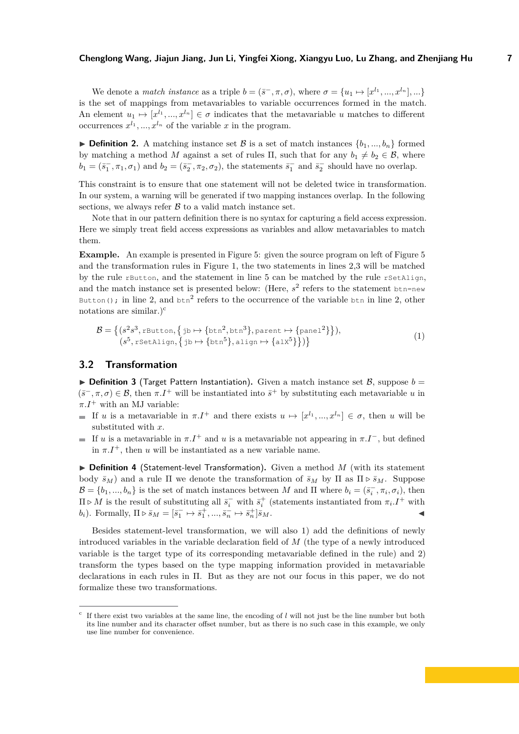We denote a *match instance* as a triple  $b = (\bar{s}^-, \pi, \sigma)$ , where  $\sigma = \{u_1 \mapsto [x^{l_1}, ..., x^{l_n}], ...\}$ is the set of mappings from metavariables to variable occurrences formed in the match. An element  $u_1 \mapsto [x^{l_1},...,x^{l_n}] \in \sigma$  indicates that the metavariable *u* matches to different occurrences  $x^{l_1}, ..., x^{l_n}$  of the variable  $x$  in the program.

**Definition 2.** A matching instance set B is a set of match instances  $\{b_1, ..., b_n\}$  formed by matching a method *M* against a set of rules  $\Pi$ , such that for any  $b_1 \neq b_2 \in \mathcal{B}$ , where  $b_1 = (\bar{s}_1^-,\pi_1,\sigma_1)$  and  $b_2 = (\bar{s}_2^-,\pi_2,\sigma_2)$ , the statements  $\bar{s}_1^-$  and  $\bar{s}_2^-$  should have no overlap.

This constraint is to ensure that one statement will not be deleted twice in transformation. In our system, a warning will be generated if two mapping instances overlap. In the following sections, we always refer  $\beta$  to a valid match instance set.

Note that in our pattern definition there is no syntax for capturing a field access expression. Here we simply treat field access expressions as variables and allow metavariables to match them.

**Example.** An example is presented in Figure [5:](#page-7-1) given the source program on left of Figure [5](#page-7-1) and the transformation rules in Figure [1,](#page-1-0) the two statements in lines 2,3 will be matched by the rule rButton, and the statement in line 5 can be matched by the rule rSetAlign, and the match instance set is presented below: (Here,  $s^2$  refers to the statement btn=new Button(); in line 2, and  $\tan^2$  refers to the occurrence of the variable  $\tan$  in line 2, other notations are similar.)<sup>[c](#page-6-0)</sup>

<span id="page-6-1"></span>
$$
\mathcal{B} = \left\{ (s^2 s^3, \text{rbutton}, \{ \text{jb} \mapsto \{ \text{btn}^2, \text{btn}^3 \}, \text{parent} \mapsto \{ \text{panel}^2 \} \right\},\newline (s^5, \text{rSetalign}, \{ \text{jb} \mapsto \{ \text{btn}^5 \}, \text{align} \mapsto \{ \text{alx}^5 \} \} ) \right\}
$$
\n
$$
(1)
$$

## **3.2 Transformation**

<span id="page-6-2"></span> $\triangleright$  **Definition 3** (Target Pattern Instantiation). Given a match instance set B, suppose  $b =$  $(\bar{s}^-, \pi, \sigma) \in \mathcal{B}$ , then  $\pi I^+$  will be instantiated into  $\bar{s}^+$  by substituting each metavariable *u* in  $\pi.I^+$  with an MJ variable:

- If *u* is a metavariable in  $\pi I^+$  and there exists  $u \mapsto [x^{l_1},...,x^{l_n}] \in \sigma$ , then *u* will be substituted with *x*.
- If *u* is a metavariable in  $\pi.I^+$  and *u* is a metavariable not appearing in  $\pi.I^-$ , but defined in  $\pi I^+$ , then *u* will be instantiated as a new variable name.

▶ Definition 4 (Statement-level Transformation). Given a method M (with its statement body  $\bar{s}_M$ ) and a rule Π we denote the transformation of  $\bar{s}_M$  by Π as Π  $\triangleright$   $\bar{s}_M$ . Suppose  $\mathcal{B} = \{b_1, ..., b_n\}$  is the set of match instances between *M* and  $\Pi$  where  $b_i = (\bar{s}_i^-, \pi_i, \sigma_i)$ , then  $\Pi \triangleright M$  is the result of substituting all  $\bar{s}_i^-$  with  $\bar{s}_i^+$  (statements instantiated from  $\pi_i \cdot I^+$  with *b*<sub>*i*</sub>). Formally,  $\Pi \triangleright \bar{s}_M = [\bar{s}_1^- \mapsto \bar{s}_1^+, ..., \bar{s}_n^- \mapsto \bar{s}_n^+]$  $\overline{s}_M$ .

Besides statement-level transformation, we will also 1) add the definitions of newly introduced variables in the variable declaration field of *M* (the type of a newly introduced variable is the target type of its corresponding metavariable defined in the rule) and 2) transform the types based on the type mapping information provided in metavariable declarations in each rules in Π. But as they are not our focus in this paper, we do not formalize these two transformations.

<span id="page-6-0"></span>c If there exist two variables at the same line, the encoding of *l* will not just be the line number but both its line number and its character offset number, but as there is no such case in this example, we only use line number for convenience.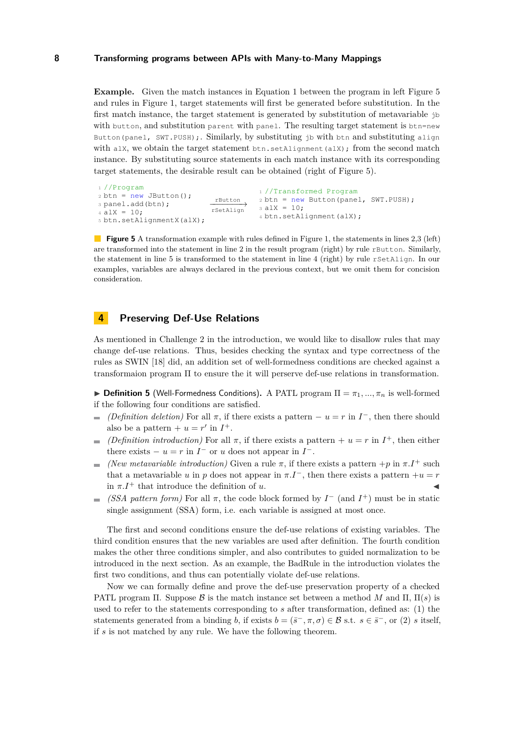**Example.** Given the match instances in Equation [1](#page-6-1) between the program in left Figure [5](#page-7-1) and rules in Figure [1,](#page-1-0) target statements will first be generated before substitution. In the first match instance, the target statement is generated by substitution of metavariable jb with button, and substitution parent with panel. The resulting target statement is btn=new Button(panel, SWT.PUSH);. Similarly, by substituting jb with btn and substituting align with  $a\perp x$ , we obtain the target statement btn.setAlignment ( $a\perp x$ ); from the second match instance. By substituting source statements in each match instance with its corresponding target statements, the desirable result can be obtained (right of Figure [5\)](#page-7-1).

```
1 //Program
2 \text{ btn} = \text{new} JButton();
3 panel.add(btn);
4 alX = 10;
5 btn.setAlignmentX(alX);
                                rButton −−−−−−−→
                               rSetAlign
                                            1 //Transformed Program
                                           2 btn = new Button(panel, SWT.PUSH);
                                           3 alX = 10;
                                            4 btn.setAlignment(alX);
```
**Figure 5** A transformation example with rules defined in Figure [1,](#page-1-0) the statements in lines 2,3 (left) are transformed into the statement in line 2 in the result program (right) by rule rButton. Similarly, the statement in line 5 is transformed to the statement in line 4 (right) by rule rSetAlign. In our examples, variables are always declared in the previous context, but we omit them for concision consideration.

## <span id="page-7-0"></span>**4 Preserving Def-Use Relations**

As mentioned in Challenge 2 in the introduction, we would like to disallow rules that may change def-use relations. Thus, besides checking the syntax and type correctness of the rules as SWIN [\[18\]](#page-24-5) did, an addition set of well-formedness conditions are checked against a transformaion program Π to ensure the it will perserve def-use relations in transformation.

**Definition 5** (Well-Formedness Conditions). A PATL program  $\Pi = \pi_1, ..., \pi_n$  is well-formed if the following four conditions are satisfied.

- *(Definition deletion)* For all  $\pi$ , if there exists a pattern  $u = r$  in  $I^-$ , then there should also be a pattern  $+ u = r'$  in  $I^+$ .
- (*Definition introduction*) For all  $\pi$ , if there exists a pattern +  $u = r$  in  $I^+$ , then either  $\blacksquare$ there exists  $- u = r$  in  $I^-$  or  $u$  does not appear in  $I^-$ .
- *(New metavariable introduction)* Given a rule  $\pi$ , if there exists a pattern  $+p$  in  $\pi.I^{+}$  such  $\blacksquare$ that a metavariable *u* in *p* does not appear in  $\pi.I^-$ , then there exists a pattern  $+u = r$ in  $\pi I^+$  that introduce the definition of *u*.
- *(SSA pattern form)* For all  $\pi$ , the code block formed by  $I^-\$  (and  $I^+$ ) must be in static single assignment (SSA) form, i.e. each variable is assigned at most once.

The first and second conditions ensure the def-use relations of existing variables. The third condition ensures that the new variables are used after definition. The fourth condition makes the other three conditions simpler, and also contributes to guided normalization to be introduced in the next section. As an example, the BadRule in the introduction violates the first two conditions, and thus can potentially violate def-use relations.

Now we can formally define and prove the def-use preservation property of a checked PATL program  $\Pi$ . Suppose  $\beta$  is the match instance set between a method *M* and  $\Pi$ ,  $\Pi(s)$  is used to refer to the statements corresponding to *s* after transformation, defined as: (1) the statements generated from a binding *b*, if exists  $b = (\bar{s}^-, \pi, \sigma) \in \mathcal{B}$  s.t.  $s \in \bar{s}^-$ , or (2) *s* itself, if *s* is not matched by any rule. We have the following theorem.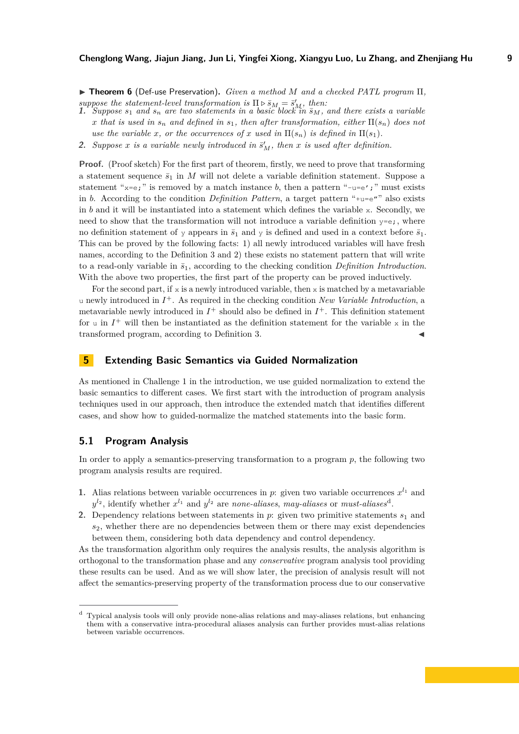I **Theorem 6** (Def-use Preservation)**.** *Given a method M and a checked PATL program* Π*,* suppose the statement-level transformation is  $\Pi \triangleright \overline{s}_M = \overline{s}'_M$ , then:<br>1. Suppose  $s_1$  and  $s_n$  are two statements in a basic block in  $\overline{s}_M$ , and there exists a variable

- *x* that is used in  $s_n$  and defined in  $s_1$ , then after transformation, either  $\Pi(s_n)$  does not *use the variable x, or the occurrences of x used in*  $\Pi(s_n)$  *is defined in*  $\Pi(s_1)$ *.*
- **2.** Suppose *x* is a variable newly introduced in  $\bar{s}'_M$ , then *x* is used after definition.

Proof. (Proof sketch) For the first part of theorem, firstly, we need to prove that transforming a statement sequence  $\bar{s}_1$  in *M* will not delete a variable definition statement. Suppose a statement " $x=e$ ;" is removed by a match instance *b*, then a pattern " $-uee'$ ;" must exists in *b*. According to the condition *Definition Pattern*, a target pattern " $+u=e''$ " also exists in *b* and it will be instantiated into a statement which defines the variable x. Secondly, we need to show that the transformation will not introduce a variable definition  $y=e_i$ , where no definition statement of y appears in  $\bar{s}_1$  and y is defined and used in a context before  $\bar{s}_1$ . This can be proved by the following facts: 1) all newly introduced variables will have fresh names, according to the Definition [3](#page-6-2) and 2) these exists no statement pattern that will write to a read-only variable in  $\bar{s}_1$ , according to the checking condition *Definition Introduction*. With the above two properties, the first part of the property can be proved inductively.

For the second part, if  $x$  is a newly introduced variable, then  $x$  is matched by a metavariable u newly introduced in *I* <sup>+</sup>. As required in the checking condition *New Variable Introduction*, a metavariable newly introduced in  $I^+$  should also be defined in  $I^+$ . This definition statement for  $u$  in  $I^+$  will then be instantiated as the definition statement for the variable  $x$  in the transformed program, according to Definition [3.](#page-6-2)

## <span id="page-8-0"></span>**5 Extending Basic Semantics via Guided Normalization**

As mentioned in Challenge 1 in the introduction, we use guided normalization to extend the basic semantics to different cases. We first start with the introduction of program analysis techniques used in our approach, then introduce the extended match that identifies different cases, and show how to guided-normalize the matched statements into the basic form.

## **5.1 Program Analysis**

In order to apply a semantics-preserving transformation to a program *p*, the following two program analysis results are required.

- **1.** Alias relations between variable occurrences in *p*: given two variable occurrences  $x^{l_1}$  and  $y^{l_2}$ , i[d](#page-8-1)entify whether  $x^{l_1}$  and  $y^{l_2}$  are *none-aliases*, *may-aliases* or *must-aliases*<sup>d</sup>.
- **2.** Dependency relations between statements in  $p$ : given two primitive statements  $s_1$  and *s*2, whether there are no dependencies between them or there may exist dependencies between them, considering both data dependency and control dependency.

As the transformation algorithm only requires the analysis results, the analysis algorithm is orthogonal to the transformation phase and any *conservative* program analysis tool providing these results can be used. And as we will show later, the precision of analysis result will not affect the semantics-preserving property of the transformation process due to our conservative

<span id="page-8-1"></span><sup>d</sup> Typical analysis tools will only provide none-alias relations and may-aliases relations, but enhancing them with a conservative intra-procedural aliases analysis can further provides must-alias relations between variable occurrences.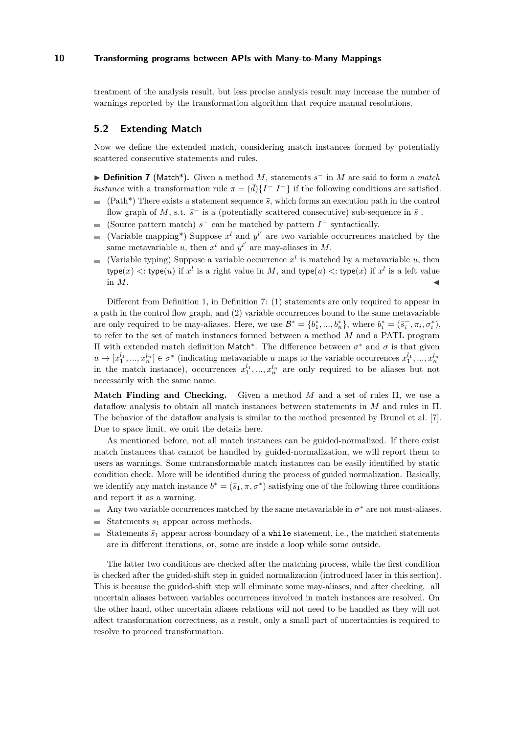treatment of the analysis result, but less precise analysis result may increase the number of warnings reported by the transformation algorithm that require manual resolutions.

# **5.2 Extending Match**

Now we define the extended match, considering match instances formed by potentially scattered consecutive statements and rules.

<span id="page-9-0"></span>► **Definition 7** (Match<sup>\*</sup>). Given a method *M*, statements  $\bar{s}^-$  in *M* are said to form a *match instance* with a transformation rule  $\pi = (\bar{d})\{I - I^+\}$  if the following conditions are satisfied.

- $\bar{a}$  $(Path*)$  There exists a statement sequence  $\bar{s}$ , which forms an execution path in the control flow graph of *M*, s.t.  $\bar{s}^-$  is a (potentially scattered consecutive) sub-sequence in  $\bar{s}$ .
- (Source pattern match)  $\bar{s}^-$  can be matched by pattern  $I^-$  syntactically.
- (Variable mapping<sup>\*</sup>) Suppose  $x^l$  and  $y^{l'}$  are two variable occurrences matched by the  $\equiv$ same metavariable *u*, then  $x^l$  and  $y^{l'}$  are may-aliases in M.
- (Variable typing) Suppose a variable occurrence  $x^l$  is matched by a metavariable  $u$ , then  $\mathsf{type}(x) \leq \mathsf{type}(u) \text{ if } x^l \text{ is a right value in } M, \text{ and } \mathsf{type}(u) \leq \mathsf{type}(x) \text{ if } x^l \text{ is a left value.}$ in  $M$ .

Different from Definition [1,](#page-5-2) in Definition [7:](#page-9-0) (1) statements are only required to appear in a path in the control flow graph, and (2) variable occurrences bound to the same metavariable are only required to be may-aliases. Here, we use  $\mathcal{B}^* = \{b_1^*,...,b_n^*\}$ , where  $b_i^* = (\bar{s}_i^-, \pi_i, \sigma_i^*)$ , to refer to the set of match instances formed between a method *M* and a PATL program Π with extended match definition Match<sup>∗</sup> . The difference between *σ* <sup>∗</sup> and *σ* is that given  $u \mapsto [x_1^{l_1}, ..., x_n^{l_n}] \in \sigma^*$  (indicating metavariable *u* maps to the variable occurrences  $x_1^{l_1}, ..., x_n^{l_n}$ ) in the match instance), occurrences  $x_1^{l_1},...,x_n^{l_n}$  are only required to be aliases but not necessarily with the same name.

**Match Finding and Checking.** Given a method *M* and a set of rules Π, we use a dataflow analysis to obtain all match instances between statements in *M* and rules in Π. The behavior of the dataflow analysis is similar to the method presented by Brunel et al. [\[7\]](#page-24-7). Due to space limit, we omit the details here.

As mentioned before, not all match instances can be guided-normalized. If there exist match instances that cannot be handled by guided-normalization, we will report them to users as warnings. Some untransformable match instances can be easily identified by static condition check. More will be identified during the process of guided normalization. Basically, we identify any match instance  $b^* = (\bar{s}_1, \pi, \sigma^*)$  satisfying one of the following three conditions and report it as a warning.

- Any two variable occurrences matched by the same metavariable in  $\sigma^*$  are not must-aliases.
- Statements  $\bar{s}_1$  appear across methods.
- Statements  $\bar{s}_1$  appear across boundary of a while statement, i.e., the matched statements  $\equiv$ are in different iterations, or, some are inside a loop while some outside.

The latter two conditions are checked after the matching process, while the first condition is checked after the guided-shift step in guided normalization (introduced later in this section). This is because the guided-shift step will eliminate some may-aliases, and after checking, all uncertain aliases between variables occurrences involved in match instances are resolved. On the other hand, other uncertain aliases relations will not need to be handled as they will not affect transformation correctness, as a result, only a small part of uncertainties is required to resolve to proceed transformation.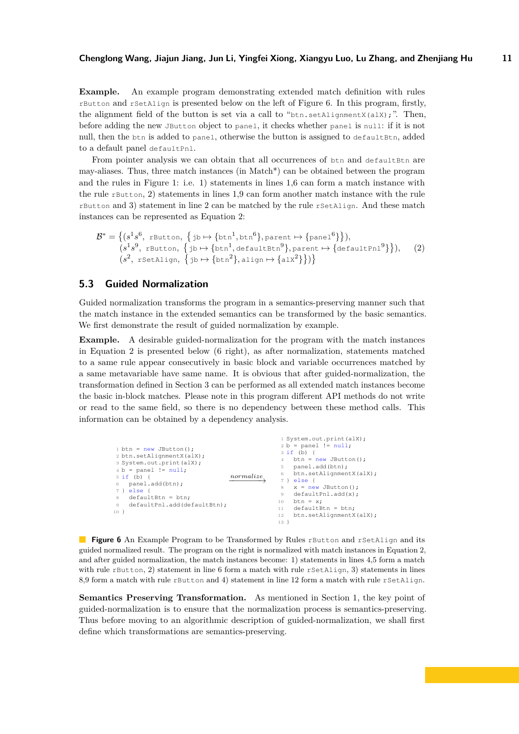**Example.** An example program demonstrating extended match definition with rules rButton and rSetAlign is presented below on the left of Figure [6.](#page-10-0) In this program, firstly, the alignment field of the button is set via a call to " $\frac{1}{2}$ then, setAlignmentX(alX);". Then, before adding the new JButton object to panel, it checks whether panel is null: if it is not null, then the btn is added to panel, otherwise the button is assigned to defaultBtn, added to a default panel defaultPnl.

From pointer analysis we can obtain that all occurrences of btn and defaultBtn are may-aliases. Thus, three match instances (in Match\*) can be obtained between the program and the rules in Figure [1:](#page-1-0) i.e. 1) statements in lines 1,6 can form a match instance with the rule rButton, 2) statements in lines 1,9 can form another match instance with the rule rButton and 3) statement in line 2 can be matched by the rule rSetAlign. And these match instances can be represented as Equation [2:](#page-10-1)

<span id="page-10-1"></span>
$$
\mathcal{B}^* = \left\{ (s^1s^6, \text{rbutton}, \{jb \mapsto \{btn^1, btn^6\}, \text{parent} \mapsto \{\text{panel}^6\} \}\right),
$$
  
\n
$$
(s^1s^9, \text{rbutton}, \{jb \mapsto \{btn^1, \text{defaultBtn}^9\}, \text{parent} \mapsto \{\text{defaultPn1}^9\}\}),
$$
  
\n
$$
(s^2, \text{rSetalign}, \{jb \mapsto \{\text{btn}^2\}, \text{align} \mapsto \{\text{alx}^2\}\})
$$

## **5.3 Guided Normalization**

Guided normalization transforms the program in a semantics-preserving manner such that the match instance in the extended semantics can be transformed by the basic semantics. We first demonstrate the result of guided normalization by example.

**Example.** A desirable guided-normalization for the program with the match instances in Equation [2](#page-10-1) is presented below [\(6](#page-10-0) right), as after normalization, statements matched to a same rule appear consecutively in basic block and variable occurrences matched by a same metavariable have same name. It is obvious that after guided-normalization, the transformation defined in Section [3](#page-5-0) can be performed as all extended match instances become the basic in-block matches. Please note in this program different API methods do not write or read to the same field, so there is no dependency between these method calls. This information can be obtained by a dependency analysis.

```
1 \text{ btn} = \text{new JButton}():
 2 btn.setAlignmentX(alX);
3 System.out.print(alX);
 4 b = panel ! = null;5 if (b) {
 6 panel.add(btn);
 7 } else {
 \frac{1}{8} defaultBtn = btn:
9 defaultPnl.add(defaultBtn);
10 }
                                      \longrightarrow normalize
                                                        1 System.out.print(alX);
                                                       2 b = panel != null:3 \text{ if } (b) \inbtn = new JButton();
                                                            panel.add(btn);
                                                       6 btn.setAlignmentX(alX);
                                                       7 } else {
                                                       8 \times = new JButton();<br>9 defaultPnl.add(x);
                                                            defaultPnl.add(x);
                                                       10 btn = x;11 \det defaultBtn = btn:
                                                      12 btn.setAlignmentX(alX);
                                                      13 }
```
**Figure 6** An Example Program to be Transformed by Rules rButton and rSetAlign and its guided normalized result. The program on the right is normalized with match instances in Equation [2,](#page-10-1) and after guided normalization, the match instances become: 1) statements in lines 4,5 form a match with rule rButton, 2) statement in line 6 form a match with rule rSetAlign, 3) statements in lines 8.9 form a match with rule rButton and 4) statement in line 12 form a match with rule rSetAlign.

**Semantics Preserving Transformation.** As mentioned in Section [1,](#page-0-0) the key point of guided-normalization is to ensure that the normalization process is semantics-preserving. Thus before moving to an algorithmic description of guided-normalization, we shall first define which transformations are semantics-preserving.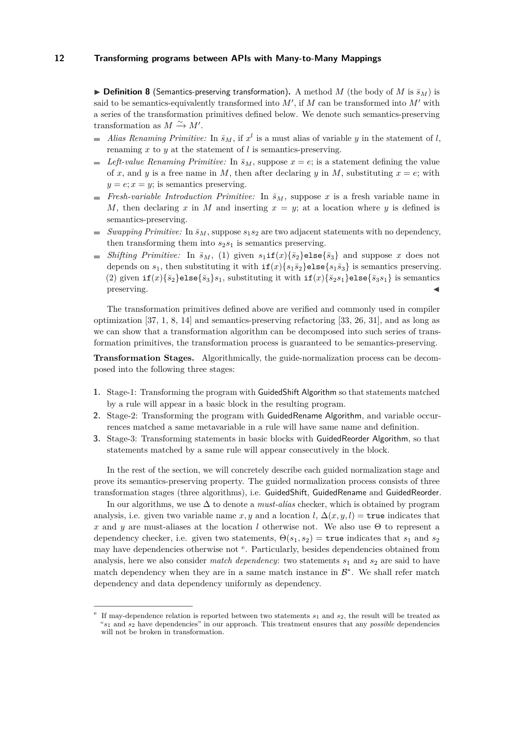<span id="page-11-1"></span> $\triangleright$  **Definition 8** (Semantics-preserving transformation). A method *M* (the body of *M* is  $\bar{s}_M$ ) is said to be semantics-equivalently transformed into  $M'$ , if  $M$  can be transformed into  $M'$  with a series of the transformation primitives defined below. We denote such semantics-preserving transformation as  $M \xrightarrow{\sim} M'$ .

- *Alias Renaming Primitive:* In  $\bar{s}_M$ , if  $x^l$  is a must alias of variable *y* in the statement of *l*,  $\equiv$ renaming *x* to *y* at the statement of *l* is semantics-preserving.
- $L$  *Left-value Renaming Primitive:* In  $\bar{s}_M$ , suppose  $x = e$ ; is a statement defining the value of x, and y is a free name in M, then after declaring y in M, substituting  $x = e$ ; with  $y = e; x = y$ ; is semantics preserving.
- *Fresh-variable Introduction Primitive:* In  $\bar{s}_M$ , suppose *x* is a fresh variable name in  $\blacksquare$ *M*, then declaring *x* in *M* and inserting  $x = y$ ; at a location where *y* is defined is semantics-preserving.
- $\equiv$ *Swapping Primitive:* In  $\bar{s}_M$ , suppose  $s_1s_2$  are two adjacent statements with no dependency, then transforming them into  $s_2s_1$  is semantics preserving.
- *Shifting Primitive:* In  $\bar{s}_M$ , (1) given  $s_1$ **if**( $x$ ){ $\bar{s}_2$ }else{ $\bar{s}_3$ } and suppose *x* does not m. depends on  $s_1$ , then substituting it with  $if(x){s_1\overline{s_2}}e1se{s_1\overline{s_3}}$  is semantics preserving. (2) given  $if(x){\overline{s_2}}$ else{ $\overline{s_3}s_1$ , substituting it with  $if(x){\overline{s_2}}s_1$ }else{ $\overline{s_3}s_1$ } is semantics preserving.

The transformation primitives defined above are verified and commonly used in compiler optimization [\[37,](#page-25-4) [1,](#page-23-0) [8,](#page-24-8) [14\]](#page-24-9) and semantics-preserving refactoring [\[33,](#page-25-5) [26,](#page-25-6) [31\]](#page-25-7), and as long as we can show that a transformation algorithm can be decomposed into such series of transformation primitives, the transformation process is guaranteed to be semantics-preserving.

**Transformation Stages.** Algorithmically, the guide-normalization process can be decomposed into the following three stages:

- **1.** Stage-1: Transforming the program with GuidedShift Algorithm so that statements matched by a rule will appear in a basic block in the resulting program.
- **2.** Stage-2: Transforming the program with GuidedRename Algorithm, and variable occurrences matched a same metavariable in a rule will have same name and definition.
- **3.** Stage-3: Transforming statements in basic blocks with GuidedReorder Algorithm, so that statements matched by a same rule will appear consecutively in the block.

In the rest of the section, we will concretely describe each guided normalization stage and prove its semantics-preserving property. The guided normalization process consists of three transformation stages (three algorithms), i.e. GuidedShift, GuidedRename and GuidedReorder.

In our algorithms, we use ∆ to denote a *must-alias* checker, which is obtained by program analysis, i.e. given two variable name *x*, *y* and a location *l*,  $\Delta(x, y, l) =$ **true** indicates that *x* and *y* are must-aliases at the location *l* otherwise not. We also use Θ to represent a dependency checker, i.e. given two statements,  $\Theta(s_1, s_2) = \text{true}$  indicates that  $s_1$  and  $s_2$ may hav[e](#page-11-0) dependencies otherwise not <sup>e</sup>. Particularly, besides dependencies obtained from analysis, here we also consider *match dependency*: two statements  $s_1$  and  $s_2$  are said to have match dependency when they are in a same match instance in  $\mathcal{B}^*$ . We shall refer match dependency and data dependency uniformly as dependency.

<span id="page-11-0"></span>e If may-dependence relation is reported between two statements  $s_1$  and  $s_2$ , the result will be treated as "*s*<sup>1</sup> and *s*<sup>2</sup> have dependencies" in our approach. This treatment ensures that any *possible* dependencies will not be broken in transformation.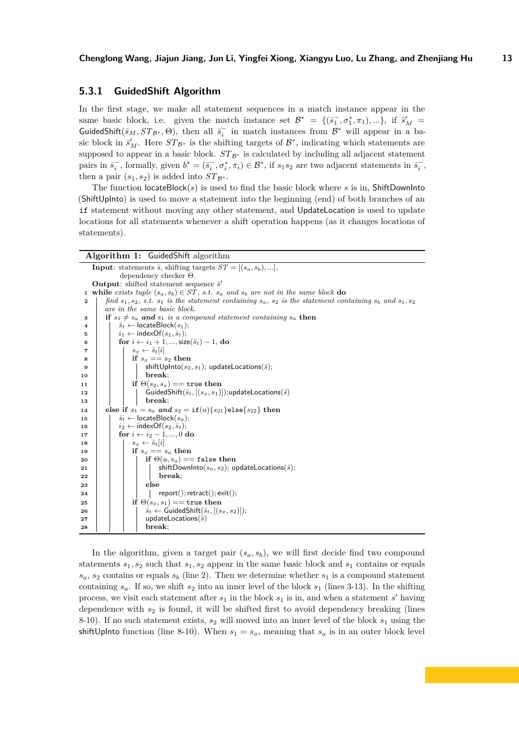## **5.3.1 GuidedShift Algorithm**

In the first stage, we make all statement sequences in a match instance appear in the same basic block, i.e. given the match instance set  $\mathcal{B}^* = \{(\bar{s}_1^-, \sigma_1^*, \pi_1), ...\}$ , if  $\bar{s}'_M$ GuidedShift( $\bar{s}_M$ ,  $ST_{\mathcal{B}^*}$ ,  $\Theta$ ), then all  $\bar{s}_i^-$  in match instances from  $\mathcal{B}^*$  will appear in a basic block in  $\bar{s}'_M$ . Here  $ST_{\mathcal{B}^*}$  is the shifting targets of  $\mathcal{B}^*$ , indicating which statements are supposed to appear in a basic block.  $ST_{\mathcal{B}^*}$  is calculated by including all adjacent statement pairs in  $\bar{s}_i^-$ , formally, given  $b^* = (\bar{s}_i^-, \sigma_i^*, \pi_i) \in \mathcal{B}^*$ , if  $s_1 s_2$  are two adjacent statements in  $\bar{s}_i^-$ , then a pair  $(s_1, s_2)$  is added into  $ST_{\mathcal{B}^*}$ .

The function locateBlock(*s*) is used to find the basic block where *s* is in, ShiftDownInto (ShiftUpInto) is used to move a statement into the beginning (end) of both branches of an if statement without moving any other statement, and UpdateLocation is used to update locations for all statements whenever a shift operation happens (as it changes locations of statements).

|    | <b>Algorithm 1:</b> Guided Shift algorithm                                                                           |  |  |  |  |  |
|----|----------------------------------------------------------------------------------------------------------------------|--|--|--|--|--|
|    | <b>Input:</b> statements $\bar{s}$ , shifting targets $ST = [(s_a, s_b), ],$                                         |  |  |  |  |  |
|    | dependency checker $\Theta$ .                                                                                        |  |  |  |  |  |
|    | <b>Output:</b> shifted statement sequence $\bar{s}'$                                                                 |  |  |  |  |  |
|    | <b>1</b> while exists tuple $(s_a, s_b) \in ST$ , s.t. $s_a$ and $s_b$ are not in the same block do                  |  |  |  |  |  |
| 2  | find $s_1, s_2, s.t. s_1$ is the statement containing $s_a$ , $s_2$ is the statement containing $s_b$ and $s_1, s_2$ |  |  |  |  |  |
|    | are in the same basic block.                                                                                         |  |  |  |  |  |
| 3  | if $s_1 \neq s_a$ and $s_1$ is a compound statement containing $s_a$ then                                            |  |  |  |  |  |
| 4  | $\bar{s}_t \leftarrow$ locateBlock $(s_1)$ ;                                                                         |  |  |  |  |  |
| 5  | $i_1 \leftarrow \text{indexOf}(s_1, \bar{s}_t);$                                                                     |  |  |  |  |  |
| 6  | for $i \leftarrow i_1 + 1, ,$ size( $\overline{s}_t$ ) – 1, do                                                       |  |  |  |  |  |
| 7  | $s_x \leftarrow \bar{s}_t  i $                                                                                       |  |  |  |  |  |
| 8  | if $s_x == s_2$ then                                                                                                 |  |  |  |  |  |
| 9  | shiftUpInto( $s_2, s_1$ ); updateLocations( $\overline{s}$ );                                                        |  |  |  |  |  |
| 10 | break:                                                                                                               |  |  |  |  |  |
| 11 | if $\Theta(s_2,s_x) ==$ true then                                                                                    |  |  |  |  |  |
| 12 | GuidedShift( $\overline{s}_t$ , $[(s_x, s_1)]$ );updateLocations( $\overline{s}$ )                                   |  |  |  |  |  |
| 13 | break:                                                                                                               |  |  |  |  |  |
| 14 | else if $s_1 = s_a$ and $s_2 = \text{if}(u) \{s_{21}\}$ else $\{s_{22}\}\$ then                                      |  |  |  |  |  |
| 15 | $\bar{s}_t \leftarrow$ locateBlock $(s_a)$ ;                                                                         |  |  |  |  |  |
| 16 | $i_2 \leftarrow \text{indexOf}(s_2, \bar{s}_t);$                                                                     |  |  |  |  |  |
| 17 | for $i \leftarrow i_2 - 1, , 0$ do                                                                                   |  |  |  |  |  |
| 18 | $s_x \leftarrow \bar{s}_t[i]$                                                                                        |  |  |  |  |  |
| 19 | if $s_x == s_a$ then                                                                                                 |  |  |  |  |  |
| 20 | if $\Theta(u, s_a) ==$ false then                                                                                    |  |  |  |  |  |
| 21 | shiftDownInto( $s_a, s_2$ ); updateLocations( $\overline{s}$ );                                                      |  |  |  |  |  |
| 22 | break:                                                                                                               |  |  |  |  |  |
| 23 | else                                                                                                                 |  |  |  |  |  |
| 24 | $report();$ retract $();$ exit $();$                                                                                 |  |  |  |  |  |
| 25 | if $\Theta(s_x, s_1) ==$ true then                                                                                   |  |  |  |  |  |
| 26 | $\overline{s}_t \leftarrow$ GuidedShift $(\overline{s}_t, [(s_x, s_2)]);$                                            |  |  |  |  |  |
| 27 | updateLocations( $\bar{s}$ )                                                                                         |  |  |  |  |  |
| 28 | break;                                                                                                               |  |  |  |  |  |

In the algorithm, given a target pair  $(s_a, s_b)$ , we will first decide find two compound statements  $s_1, s_2$  such that  $s_1, s_2$  appear in the same basic block and  $s_1$  contains or equals  $s_a$ ,  $s_2$  contains or equals  $s_b$  (line 2). Then we determine whether  $s_1$  is a compound statement containing  $s_a$ . If so, we shift  $s_2$  into an inner level of the block  $s_1$  (lines 3-13). In the shifting process, we visit each statement after  $s_1$  in the block  $s_1$  is in, and when a statement *s'* having dependence with  $s_2$  is found, it will be shifted first to avoid dependency breaking (lines 8-10). If no such statement exists, *s*<sup>2</sup> will moved into an inner level of the block *s*<sup>1</sup> using the shiftUpInto function (line 8-10). When  $s_1 = s_a$ , meaning that  $s_a$  is in an outer block level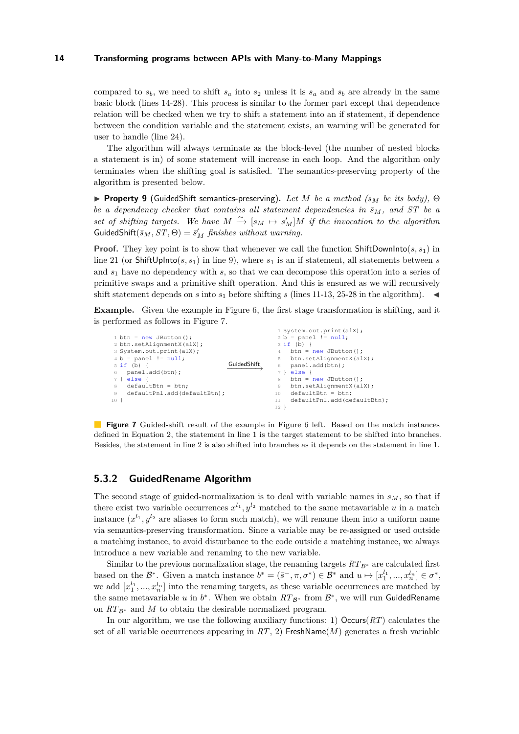compared to  $s_b$ , we need to shift  $s_a$  into  $s_2$  unless it is  $s_a$  and  $s_b$  are already in the same basic block (lines 14-28). This process is similar to the former part except that dependence relation will be checked when we try to shift a statement into an if statement, if dependence between the condition variable and the statement exists, an warning will be generated for user to handle (line 24).

The algorithm will always terminate as the block-level (the number of nested blocks a statement is in) of some statement will increase in each loop. And the algorithm only terminates when the shifting goal is satisfied. The semantics-preserving property of the algorithm is presented below.

<span id="page-13-1"></span> $\triangleright$  **Property 9** (GuidedShift semantics-preserving). Let M be a method ( $\bar{s}_M$  be its body),  $\Theta$ *be a dependency checker that contains all statement dependencies in*  $\bar{s}_M$ , and ST *be a set of shifting targets.* We have  $M \xrightarrow{\sim} [\bar{s}_M \mapsto \bar{s}'_M]M$  *if the invocation to the algorithm*  $\textsf{GuidedShift}(\bar{s}_M, ST, \Theta) = \bar{s}'_M$  *finishes without warning.* 

**Proof.** They key point is to show that whenever we call the function ShiftDownInto( $s, s_1$ ) in line 21 (or ShiftUpInto( $s, s_1$ ) in line 9), where  $s_1$  is an if statement, all statements between *s* and *s*<sup>1</sup> have no dependency with *s*, so that we can decompose this operation into a series of primitive swaps and a primitive shift operation. And this is ensured as we will recursively shift statement depends on *s* into  $s_1$  before shifting *s* (lines 11-13, 25-28 in the algorithm).

**Example.** Given the example in Figure [6,](#page-10-0) the first stage transformation is shifting, and it is performed as follows in Figure [7.](#page-13-0)

<span id="page-13-0"></span>

|                                         | 1 System.out.print(alX);               |
|-----------------------------------------|----------------------------------------|
| $1 \text{ btn} = \text{new}$ JButton(); | $2 b = panel$ != $null;$               |
| 2 btn.setAlignmentX(alX);               | $3 if (b) { }$                         |
| 3 System.out.print(alX);                | $btn = new JButton()$ ;<br>$4^{\circ}$ |
| $4 b = panel$ != $null;$                | btn.setAlignmentX(alX);<br>5.          |
| GuidedShift<br>$5if(b)$ {               | panel.add(btn);<br>6                   |
| panel.add(btn);<br>6                    | $7$ } else {                           |
| else {<br>7 }                           | $btn = new JButton()$ ;<br>8           |
| $defaultBtn = btn;$<br>8                | btn.setAlignmentX(alX);<br>9           |
| defaultPnl.add(defaultBtn);<br>$\Theta$ | $defaultBtn = btn;$<br>10              |
| 10 <sup>1</sup>                         | defaultPnl.add(defaultBtn);<br>$11 -$  |
|                                         | 12                                     |

**Figure 7** Guided-shift result of the example in Figure [6](#page-10-0) left. Based on the match instances defined in Equation [2,](#page-10-1) the statement in line 1 is the target statement to be shifted into branches. Besides, the statement in line 2 is also shifted into branches as it depends on the statement in line 1.

## **5.3.2 GuidedRename Algorithm**

The second stage of guided-normalization is to deal with variable names in  $\bar{s}_M$ , so that if there exist two variable occurrences  $x^{l_1}, y^{l_2}$  matched to the same metavariable *u* in a match instance  $(x^{l_1}, y^{l_2})$  are aliases to form such match), we will rename them into a uniform name via semantics-preserving transformation. Since a variable may be re-assigned or used outside a matching instance, to avoid disturbance to the code outside a matching instance, we always introduce a new variable and renaming to the new variable.

Similar to the previous normalization stage, the renaming targets  $RT_{\mathcal{B}^*}$  are calculated first based on the  $\mathcal{B}^*$ . Given a match instance  $b^* = (\bar{s}^-, \pi, \sigma^*) \in \mathcal{B}^*$  and  $u \mapsto [x_1^{l_1}, ..., x_n^{l_n}] \in \sigma^*$ , we add  $[x_1^{l_1},...,x_n^{l_n}]$  into the renaming targets, as these variable occurrences are matched by the same metavariable *u* in  $b^*$ . When we obtain  $RT_{\mathcal{B}^*}$  from  $\mathcal{B}^*$ , we will run GuidedRename on  $RT_{\mathcal{B}^*}$  and M to obtain the desirable normalized program.

In our algorithm, we use the following auxiliary functions: 1) Occurs(*RT*) calculates the set of all variable occurrences appearing in *RT*, 2) FreshName(*M*) generates a fresh variable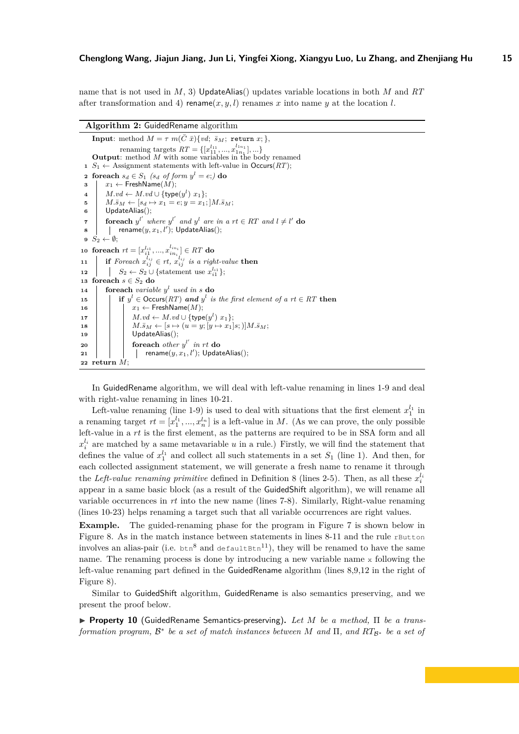name that is not used in *M*, 3) UpdateAlias() updates variable locations in both *M* and *RT* after transformation and 4) rename $(x, y, l)$  renames x into name y at the location *l*.

#### **Algorithm 2:** GuidedRename algorithm

**Input**: method  $M = \tau m(\bar{C} \bar{x}) \{ v d; \bar{s}_M; \text{ return } x; \}$ renaming targets  $RT = \{ [x_{11}^{l_{11}},...,x_{1n_1}^{l_{1n_1}}],... \}$ **Output**: method *M* with some variables in the body renamed **1**  $S_1 \leftarrow$  Assignment statements with left-value in  $Occurs(RT)$ ; **2 foreach**  $s_d \in S_1$  ( $s_d$  *of form*  $y^l = e$ ;) **do**  $\mathbf{a}$  |  $x_1 \leftarrow \text{FreshName}(\hat{M});$ **4**  $M.vd ← M.vd ∪ {type(y^l) x_1};$ **5** *M.* $\bar{s}_M \leftarrow [s_d \mapsto x_1 = e; y = x_1; M.\bar{s}_M;$ **<sup>6</sup>** UpdateAlias(); **7 foreach**  $y^{l'}$  where  $y^{l'}$  and  $y^{l}$  are in a rt  $\in RT$  and  $l \neq l'$  do  $\textbf{s}$  | rename $(y,x_1,l')$ ; UpdateAlias(); **9**  $S_2 \leftarrow \emptyset;$  $10$  **foreach**  $rt = [x_{i1}^{l_{i1}}, ..., x_{in_i}^{l_{in_i}}] \in RT$  **do 11 if** *Foreach*  $x_{ij}^{l_{ij}} \in rt$ ,  $x_{ij}^{l_{ij}}$  *is a right-value* **then 12 S**<sub>2</sub> ← *S*<sub>2</sub> ∪ {statement use  $x_{i1}^{l_{i1}}$ }; 13 **foreach**  $s \in S_2$  **do**  $\bf{14}$  **foreach** *variable*  $y^l$  *used in s* **do 15 i i if**  $y^l \in Occurs(RT)$  *and*  $y^l$  *is the first element of a*  $rt \in RT$  **then** 16  $x_1 \leftarrow$  **FreshName** $(M)$ ;  $\begin{aligned} \mathbf{17} \quad | \quad M.vd \leftarrow M.vd \cup \{\mathsf{type}(y^l) \; x_1\}; \end{aligned}$ 18 **a**  $M.\bar{s}_M \leftarrow [s \mapsto (u = y; [y \mapsto x_1]s;)]M.\bar{s}_M;$ 19 | UpdateAlias();  $\begin{array}{|c|c|c|c|c|}\n\hline\n\text{for each other } y^{l'} \text{ in } rt \text{ do} \n\end{array}$  $\begin{array}{|c|c|c|}\n\hline\n\text{21} & & \text{ername}(y,x_1,l'); \text{UpdateAlias}();\n\hline\n\end{array}$ **<sup>22</sup> return** *M*;

In GuidedRename algorithm, we will deal with left-value renaming in lines 1-9 and deal with right-value renaming in lines 10-21.

Left-value renaming (line 1-9) is used to deal with situations that the first element  $x_1^{l_1}$  in a renaming target  $rt = [x_1^{l_1}, ..., x_n^{l_n}]$  is a left-value in *M*. (As we can prove, the only possible left-value in a *rt* is the first element, as the patterns are required to be in SSA form and all  $x_i^{l_i}$  are matched by a same metavariable *u* in a rule.) Firstly, we will find the statement that defines the value of  $x_1^{l_1}$  and collect all such statements in a set  $S_1$  (line 1). And then, for each collected assignment statement, we will generate a fresh name to rename it through the *Left-value renaming primitive* defined in Definition [8](#page-11-1) (lines 2-5). Then, as all these  $x_i^{l_i}$ appear in a same basic block (as a result of the GuidedShift algorithm), we will rename all variable occurrences in *rt* into the new name (lines 7-8). Similarly, Right-value renaming (lines 10-23) helps renaming a target such that all variable occurrences are right values.

**Example.** The guided-renaming phase for the program in Figure [7](#page-13-0) is shown below in Figure [8.](#page-15-0) As in the match instance between statements in lines  $8-11$  and the rule rButton involves an alias-pair (i.e.  $b \text{tr}^8$  and defaultBtn<sup>11</sup>), they will be renamed to have the same name. The renaming process is done by introducing a new variable name x following the left-value renaming part defined in the GuidedRename algorithm (lines 8,9,12 in the right of Figure [8\)](#page-15-0).

Similar to GuidedShift algorithm, GuidedRename is also semantics preserving, and we present the proof below.

<span id="page-14-0"></span>I **Property 10** (GuidedRename Semantics-preserving)**.** *Let M be a method,* Π *be a transformation program,* **B**<sup>∗</sup> *be a set of match instances between M and* Π, *and RT*<sub>B<sup>∗</sup> *be a set of*</sub>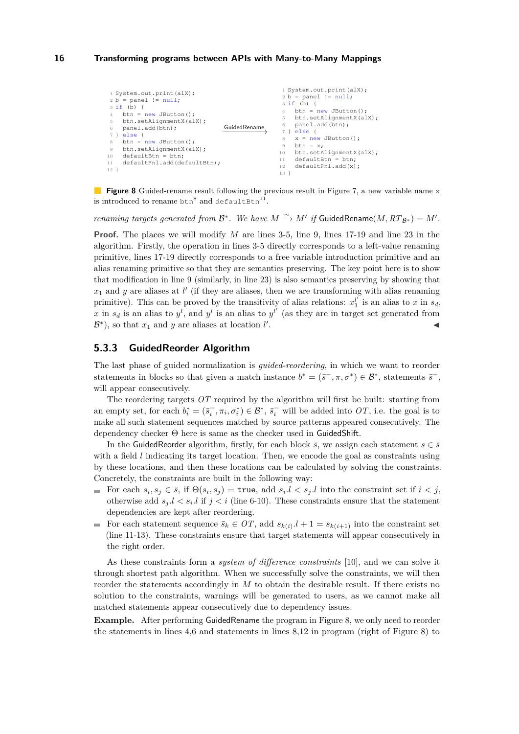```
1 System.out.print(alX);<br>2 b = panel != null;
3 \text{ if } (b) \inbtn = new JButton();
     btn.setAlignmentX(alX);
     panel.add(btn);
     else {
     btn = new JButton();
     btn.setAlignmentX(alX);
10 defaultBtn = btn;
11 defaultPnl.add(defaultBtn);
12 }
                                         GuidedRename
−−−−−−−−→
                                                              1 System.out.print(alX);
                                                              2 b = panel ! = null;3 \text{ if } (b) \{4 \text{ bitn} = \text{new JButton} \}btn.setAlignmentX(alX);
                                                              6 panel.add(btn);<br>7 } else {
                                                                   else {
                                                                  x = new JButton();
                                                             9 btn = x;
                                                             10 btn.setAlignmentX(alX);
                                                             11 defaultBtn = btn;<br>12 defaultPnl.add(x)
                                                                  defaultPnl.add(x);
                                                             13 }
```
**Figure 8** Guided-rename result following the previous result in Figure [7,](#page-13-0) a new variable name x is introduced to rename  $\tan^8$  and defaultBtn<sup>11</sup>.

*renaming targets generated from*  $\mathcal{B}^*$ *. We have*  $M \xrightarrow{\sim} M'$  *if GuidedRename* $(M, RT_{\mathcal{B}^*}) = M'$ *.* 

**Proof.** The places we will modify *M* are lines 3-5, line 9, lines 17-19 and line 23 in the algorithm. Firstly, the operation in lines 3-5 directly corresponds to a left-value renaming primitive, lines 17-19 directly corresponds to a free variable introduction primitive and an alias renaming primitive so that they are semantics preserving. The key point here is to show that modification in line 9 (similarly, in line 23) is also semantics preserving by showing that  $x_1$  and  $y$  are aliases at  $l'$  (if they are aliases, then we are transforming with alias renaming primitive). This can be proved by the transitivity of alias relations:  $x_1^{l'}$  is an alias to *x* in  $s_d$ , x in  $s_d$  is an alias to  $y^l$ , and  $y^l$  is an alias to  $y^{l'}$  (as they are in target set generated from  $\mathcal{B}^*$ ), so that  $x_1$  and  $y$  are aliases at location  $l'$ . John Park Research (1986)

## **5.3.3 GuidedReorder Algorithm**

The last phase of guided normalization is *guided-reordering*, in which we want to reorder statements in blocks so that given a match instance  $b^* = (\bar{s}^-, \pi, \sigma^*) \in \mathcal{B}^*$ , statements  $\bar{s}^-,$ will appear consecutively.

The reordering targets *OT* required by the algorithm will first be built: starting from an empty set, for each  $b_i^* = (\bar{s}_i^-, \pi_i, \sigma_i^*) \in \mathcal{B}^*, \bar{s}_i^-$  will be added into  $OT$ , i.e. the goal is to make all such statement sequences matched by source patterns appeared consecutively. The dependency checker Θ here is same as the checker used in GuidedShift.

In the GuidedReorder algorithm, firstly, for each block  $\bar{s}$ , we assign each statement  $s \in \bar{s}$ with a field *l* indicating its target location. Then, we encode the goal as constraints using by these locations, and then these locations can be calculated by solving the constraints. Concretely, the constraints are built in the following way:

- For each  $s_i, s_j \in \bar{s}$ , if  $\Theta(s_i, s_j) = \text{true}$ , add  $s_i, l < s_j, l$  into the constraint set if  $i < j$ , otherwise add  $s_j$ . $l < s_i$ . $l$  if  $j < i$  (line 6-10). These constraints ensure that the statement dependencies are kept after reordering.
- For each statement sequence  $\bar{s}_k \in OT$ , add  $s_{k(i)} \cdot l + 1 = s_{k(i+1)}$  into the constraint set (line 11-13). These constraints ensure that target statements will appear consecutively in the right order.

As these constraints form a *system of difference constraints* [\[10\]](#page-24-11), and we can solve it through shortest path algorithm. When we successfully solve the constraints, we will then reorder the statements accordingly in *M* to obtain the desirable result. If there exists no solution to the constraints, warnings will be generated to users, as we cannot make all matched statements appear consecutively due to dependency issues.

**Example.** After performing GuidedRename the program in Figure [8,](#page-15-0) we only need to reorder the statements in lines 4,6 and statements in lines 8,12 in program (right of Figure [8\)](#page-15-0) to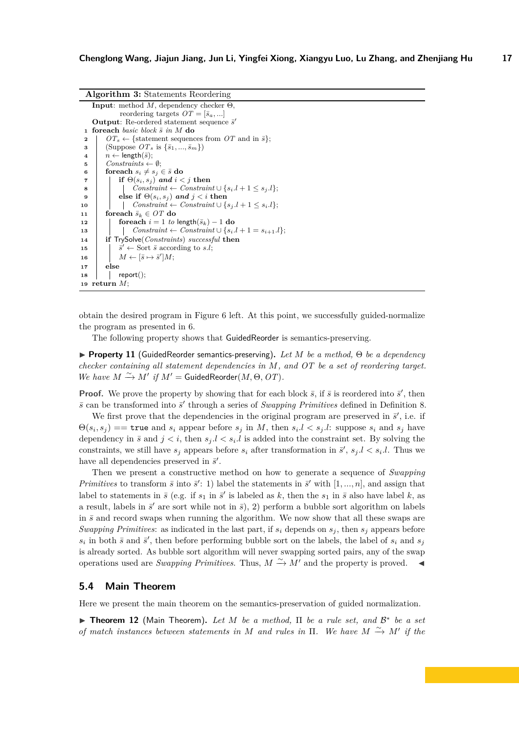| <b>Algorithm 3:</b> Statements Reordering                                                          |  |  |  |  |
|----------------------------------------------------------------------------------------------------|--|--|--|--|
| <b>Input:</b> method M, dependency checker $\Theta$ ,                                              |  |  |  |  |
| reordering targets $OT = [\bar{s}_a, \ldots]$                                                      |  |  |  |  |
| <b>Output:</b> Re-ordered statement sequence $\bar{s}'$                                            |  |  |  |  |
| <b>foreach</b> basic block $\bar{s}$ in M do<br>1                                                  |  |  |  |  |
| $OT_s \leftarrow \{\text{statement sequences from } OT \text{ and in } \bar{s}\};$<br>$\mathbf{2}$ |  |  |  |  |
| (Suppose $OT_s$ is $\{\bar{s}_1, , \bar{s}_m\}$ )<br>3                                             |  |  |  |  |
| $n \leftarrow$ length $(\bar{s})$ ;<br>$\overline{\bf 4}$                                          |  |  |  |  |
| $Constraints \leftarrow \emptyset$<br>5                                                            |  |  |  |  |
| foreach $s_i \neq s_j \in \bar{s}$ do<br>6                                                         |  |  |  |  |
| if $\Theta(s_i, s_j)$ and $i < j$ then<br>7                                                        |  |  |  |  |
| Constraint $\leftarrow$ Constraint $\cup$ { $s_i.l + 1 \leq s_j.l$ };<br>8                         |  |  |  |  |
| else if $\Theta(s_i, s_j)$ and $j < i$ then<br>9                                                   |  |  |  |  |
| Constraint $\leftarrow$ Constraint $\cup$ { $s_i$ , $l + 1 \leq s_i$ , $l$ };<br>10                |  |  |  |  |
| foreach $\bar{s}_k \in OT$ do<br>11                                                                |  |  |  |  |
| for each $i = 1$ to length $(\bar{s}_k) - 1$ do<br>12                                              |  |  |  |  |
| Constraint $\leftarrow$ Constraint $\cup$ { $s_i.l + 1 = s_{i+1}.l$ };<br>13                       |  |  |  |  |
| <b>if</b> TrySolve( <i>Constraints</i> ) <i>successful</i> then<br>14                              |  |  |  |  |
| $\bar{s}' \leftarrow$ Sort $\bar{s}$ according to s.l;<br>15                                       |  |  |  |  |
| $M \leftarrow [\bar{s} \mapsto \bar{s}']M;$<br>16                                                  |  |  |  |  |
| else<br>17                                                                                         |  |  |  |  |
| report();<br>18                                                                                    |  |  |  |  |
|                                                                                                    |  |  |  |  |
| 19 return $M$ :                                                                                    |  |  |  |  |

obtain the desired program in Figure [6](#page-10-0) left. At this point, we successfully guided-normalize the program as presented in [6.](#page-10-0)

The following property shows that GuidedReorder is semantics-preserving.

<span id="page-16-0"></span>I **Property 11** (GuidedReorder semantics-preserving)**.** *Let M be a method,* Θ *be a dependency checker containing all statement dependencies in M, and OT be a set of reordering target. We have*  $M \xrightarrow{\sim} M'$  *if*  $M' =$  GuidedReorder(*M*,  $\Theta$ , *OT*)*.* 

**Proof.** We prove the property by showing that for each block  $\bar{s}$ , if  $\bar{s}$  is reordered into  $\bar{s}'$ , then  $\bar{s}$  can be transformed into  $\bar{s}'$  through a series of *Swapping Primitives* defined in Definition [8.](#page-11-1)

We first prove that the dependencies in the original program are preserved in  $\bar{s}$ <sup>'</sup>, i.e. if  $\Theta(s_i, s_j) =$  true and  $s_i$  appear before  $s_j$  in *M*, then  $s_i.l < s_j.l$ : suppose  $s_i$  and  $s_j$  have dependency in  $\bar{s}$  and  $j < i$ , then  $s_j$ . $l < s_i$ . is added into the constraint set. By solving the constraints, we still have  $s_j$  appears before  $s_i$  after transformation in  $\bar{s}'$ ,  $s_j$ ,  $l < s_i$ , *l*. Thus we have all dependencies preserved in  $\bar{s}'$ .

Then we present a constructive method on how to generate a sequence of *Swapping Primitives* to transform  $\bar{s}$  into  $\bar{s}'$ : 1) label the statements in  $\bar{s}'$  with  $[1, ..., n]$ , and assign that label to statements in  $\bar{s}$  (e.g. if  $s_1$  in  $\bar{s}'$  is labeled as  $k$ , then the  $s_1$  in  $\bar{s}$  also have label  $k$ , as a result, labels in  $\vec{s}'$  are sort while not in  $\vec{s}$ ), 2) perform a bubble sort algorithm on labels in  $\bar{s}$  and record swaps when running the algorithm. We now show that all these swaps are *Swapping Primitives*: as indicated in the last part, if  $s_i$  depends on  $s_j$ , then  $s_j$  appears before  $s_i$  in both  $\bar{s}$  and  $\bar{s}'$ , then before performing bubble sort on the labels, the label of  $s_i$  and  $s_j$ is already sorted. As bubble sort algorithm will never swapping sorted pairs, any of the swap operations used are *Swapping Primitives*. Thus,  $M \stackrel{\sim}{\rightarrow} M'$  and the property is proved.  $\blacktriangleleft$ 

## **5.4 Main Theorem**

Here we present the main theorem on the semantics-preservation of guided normalization.

I **Theorem 12** (Main Theorem)**.** *Let M be a method,* Π *be a rule set, and* B ∗ *be a set of match instances between statements in M and rules in*  $\Pi$ *. We have*  $M \xrightarrow{\sim} M'$  *if the*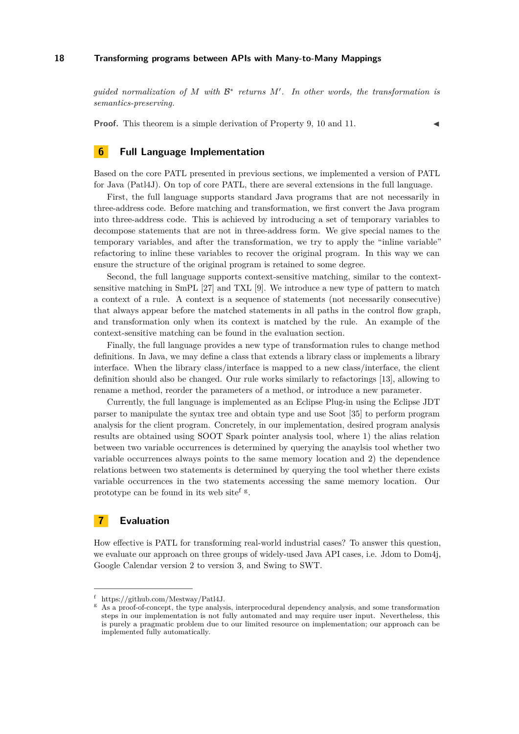*guided normalization of M with* B ∗ *returns M*<sup>0</sup> *. In other words, the transformation is semantics-preserving.*

**Proof.** This theorem is a simple derivation of Property [9,](#page-13-1) [10](#page-14-0) and [11.](#page-16-0)

# <span id="page-17-0"></span>**6 Full Language Implementation**

Based on the core PATL presented in previous sections, we implemented a version of PATL for Java (Patl4J). On top of core PATL, there are several extensions in the full language.

First, the full language supports standard Java programs that are not necessarily in three-address code. Before matching and transformation, we first convert the Java program into three-address code. This is achieved by introducing a set of temporary variables to decompose statements that are not in three-address form. We give special names to the temporary variables, and after the transformation, we try to apply the "inline variable" refactoring to inline these variables to recover the original program. In this way we can ensure the structure of the original program is retained to some degree.

Second, the full language supports context-sensitive matching, similar to the contextsensitive matching in SmPL [\[27\]](#page-25-2) and TXL [\[9\]](#page-24-3). We introduce a new type of pattern to match a context of a rule. A context is a sequence of statements (not necessarily consecutive) that always appear before the matched statements in all paths in the control flow graph, and transformation only when its context is matched by the rule. An example of the context-sensitive matching can be found in the evaluation section.

Finally, the full language provides a new type of transformation rules to change method definitions. In Java, we may define a class that extends a library class or implements a library interface. When the library class/interface is mapped to a new class/interface, the client definition should also be changed. Our rule works similarly to refactorings [\[13\]](#page-24-12), allowing to rename a method, reorder the parameters of a method, or introduce a new parameter.

Currently, the full language is implemented as an Eclipse Plug-in using the Eclipse JDT parser to manipulate the syntax tree and obtain type and use Soot [\[35\]](#page-25-9) to perform program analysis for the client program. Concretely, in our implementation, desired program analysis results are obtained using SOOT Spark pointer analysis tool, where 1) the alias relation between two variable occurrences is determined by querying the anaylsis tool whether two variable occurrences always points to the same memory location and 2) the dependence relations between two statements is determined by querying the tool whether there exists variable occurrences in the two statements accessing the same memory location. Our prototype can be [f](#page-17-2)ound in its web site<sup>f  $g$ </sup>.

## <span id="page-17-1"></span>**7 Evaluation**

How effective is PATL for transforming real-world industrial cases? To answer this question, we evaluate our approach on three groups of widely-used Java API cases, i.e. Jdom to Dom4j, Google Calendar version 2 to version 3, and Swing to SWT.

<span id="page-17-2"></span><sup>f</sup> https://github.com/Mestway/Patl4J.

<span id="page-17-3"></span><sup>g</sup> As a proof-of-concept, the type analysis, interprocedural dependency analysis, and some transformation steps in our implementation is not fully automated and may require user input. Nevertheless, this is purely a pragmatic problem due to our limited resource on implementation; our approach can be implemented fully automatically.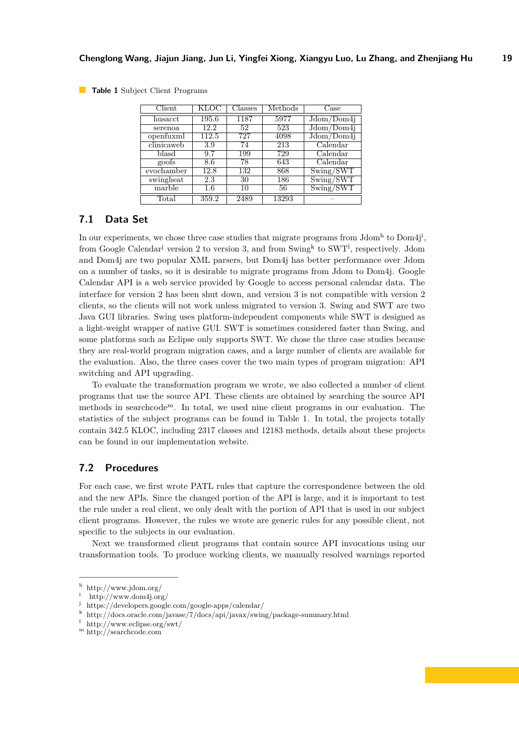<span id="page-18-6"></span>**Table 1** Subject Client Programs

| $\overline{\text{Client}}$ | KLOC             | Classes | Methods | Case                                 |
|----------------------------|------------------|---------|---------|--------------------------------------|
| husacct                    | 195.6            | 1187    | 5977    | Jdom/Dom4j                           |
| serenoa                    | 12.2             | 52      | 523     | $J\overline{\text{dom}/\text{Dom}4}$ |
| openfuxml                  | 112.5            | 727     | 4098    | Jdom/Dom4j                           |
| clinicaweb                 | 3.9              | 74      | 213     | Calendar                             |
| blasd                      | 9.7              | 199     | 729     | $\overline{\text{Calendar}}$         |
| goofs                      | 8.6              | 78      | 643     | $\overline{\text{Calendar}}$         |
| evochamber                 | 12.8             | 132     | 868     | Swing/SWT                            |
| swingheat                  | $\overline{2.3}$ | 30      | 186     | Swing/SWT                            |
| marble                     | $1.6\,$          | 10      | 56      | Swing/SWT                            |
| Total                      | 359.2            | 2489    | 13293   |                                      |

## **7.1 Data Set**

In our experiments, we c[h](#page-18-0)ose three case stud[i](#page-18-1)es that migrate programs from  $\text{Jdom}^h$  to  $\text{Dom}4j^i$ , from Google Calendar<sup>[j](#page-18-2)</sup> version 2 to version 3, and from Swing<sup>[k](#page-18-3)</sup> to SWT<sup>1</sup>, respective[l](#page-18-4)y. Jdom and Dom4j are two popular XML parsers, but Dom4j has better performance over Jdom on a number of tasks, so it is desirable to migrate programs from Jdom to Dom4j. Google Calendar API is a web service provided by Google to access personal calendar data. The interface for version 2 has been shut down, and version 3 is not compatible with version 2 clients, so the clients will not work unless migrated to version 3. Swing and SWT are two Java GUI libraries. Swing uses platform-independent components while SWT is designed as a light-weight wrapper of native GUI. SWT is sometimes considered faster than Swing, and some platforms such as Eclipse only supports SWT. We chose the three case studies because they are real-world program migration cases, and a large number of clients are available for the evaluation. Also, the three cases cover the two main types of program migration: API switching and API upgrading.

To evaluate the transformation program we wrote, we also collected a number of client programs that use the source API. These clients are obtained by searching the source API methods in searchcode[m](#page-18-5). In total, we used nine client programs in our evaluation. The statistics of the subject programs can be found in Table [1.](#page-18-6) In total, the projects totally contain 342.5 KLOC, including 2317 classes and 12183 methods, details about these projects can be found in our implementation website.

## **7.2 Procedures**

For each case, we first wrote PATL rules that capture the correspondence between the old and the new APIs. Since the changed portion of the API is large, and it is important to test the rule under a real client, we only dealt with the portion of API that is used in our subject client programs. However, the rules we wrote are generic rules for any possible client, not specific to the subjects in our evaluation.

Next we transformed client programs that contain source API invocations using our transformation tools. To produce working clients, we manually resolved warnings reported

<span id="page-18-0"></span><sup>h</sup> http://www.jdom.org/

<span id="page-18-1"></span><sup>i</sup> http://www.dom4j.org/

<span id="page-18-2"></span><sup>j</sup> https://developers.google.com/google-apps/calendar/

<span id="page-18-3"></span><sup>k</sup> http://docs.oracle.com/javase/7/docs/api/javax/swing/package-summary.html

<span id="page-18-4"></span><sup>&</sup>lt;sup>1</sup> http://www.eclipse.org/swt/

<span id="page-18-5"></span><sup>m</sup> http://searchcode.com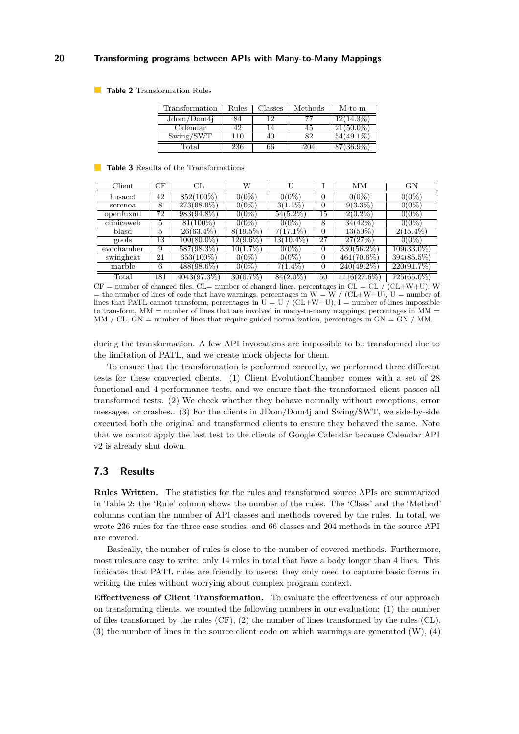<span id="page-19-0"></span>**Table 2** Transformation Rules

| Transformation | Rules | Classes | Methods | $M$ -to-m   |
|----------------|-------|---------|---------|-------------|
| Jdom/Dom4j     |       |         |         | $2(14.3\%$  |
| Calendar       |       |         | 45      | $21(50.0\%$ |
| Swing/SWT      | 110   | 40      | טע      |             |
| l'otal         | 236   | 66      | 204     | 87(36.9%)   |

#### <span id="page-19-1"></span>**Table 3** Results of the Transformations

| Client     | СF  | СL            | W           |              |                | MМ             | GN            |
|------------|-----|---------------|-------------|--------------|----------------|----------------|---------------|
| husacct    | 42  | $852(100\%)$  | $0(0\%)$    | 0(0%         | $\Omega$       | 0(0%           | $0(0\%)$      |
| serenoa    | 8   | $273(98.9\%)$ | $0(0\%)$    | $3(1.1\%)$   | $\Omega$       | $9(3.3\%)$     | 0(0%          |
| openfuxml  | 72  | 983(94.8%)    | $0(0\%)$    | $54(5.2\%)$  | 15             | $2(0.2\%)$     | $0(0\%)$      |
| clinicaweb | 5.  | $81(100\%)$   | $0(0\%)$    | $0(0\%)$     | 8              | 34(42%)        | $0(0\%)$      |
| blasd      | 5   | $26(63.4\%)$  | $8(19.5\%)$ | $7(17.1\%)$  | $\Omega$       | $13(50\%)$     | $2(15.4\%)$   |
| goofs      | 13  | $100(80.0\%)$ | $12(9.6\%)$ | $13(10.4\%)$ | 27             | 27(27%)        | $0(0\%)$      |
| evochamber | 9   | $587(98.3\%)$ | $10(1.7\%)$ | $0(0\%)$     | 0              | $330(56.2\%)$  | $109(33.0\%)$ |
| swingheat  | 21  | $653(100\%)$  | $0(0\%)$    | $0(0\%)$     | $\Omega$       | $461(70.6\%)$  | $394(85.5\%)$ |
| marble     | 6   | $488(98.6\%)$ | $0(0\%)$    | $7(1.4\%)$   | $\overline{0}$ | $240(49.2\%)$  | 220(91.7%)    |
| Total      | 181 | 4043(97.3%)   | 30(0.7%     | 84(2.0%)     | 50             | $1116(27.6\%)$ | $725(65.0\%)$ |

 $CF =$  number of changed files,  $CL =$  number of changed lines, percentages in  $CL = CL / (CL+W+U)$ , W = the number of lines of code that have warnings, percentages in W = W / (CL+W+U), U = number of lines that PATL cannot transform, percentages in  $U = U \int (CL+W+U)$ ,  $I =$  number of lines impossible to transform,  $MM =$  number of lines that are involved in many-to-many mappings, percentages in  $MM =$ MM / CL, GN = number of lines that require guided normalization, percentages in GN = GN / MM.

during the transformation. A few API invocations are impossible to be transformed due to the limitation of PATL, and we create mock objects for them.

To ensure that the transformation is performed correctly, we performed three different tests for these converted clients. (1) Client EvolutionChamber comes with a set of 28 functional and 4 performance tests, and we ensure that the transformed client passes all transformed tests. (2) We check whether they behave normally without exceptions, error messages, or crashes.. (3) For the clients in JDom/Dom4j and Swing/SWT, we side-by-side executed both the original and transformed clients to ensure they behaved the same. Note that we cannot apply the last test to the clients of Google Calendar because Calendar API v2 is already shut down.

## **7.3 Results**

**Rules Written.** The statistics for the rules and transformed source APIs are summarized in Table [2:](#page-19-0) the 'Rule' column shows the number of the rules. The 'Class' and the 'Method' columns contian the number of API classes and methods covered by the rules. In total, we wrote 236 rules for the three case studies, and 66 classes and 204 methods in the source API are covered.

Basically, the number of rules is close to the number of covered methods. Furthermore, most rules are easy to write: only 14 rules in total that have a body longer than 4 lines. This indicates that PATL rules are friendly to users: they only need to capture basic forms in writing the rules without worrying about complex program context.

**Effectiveness of Client Transformation.** To evaluate the effectiveness of our approach on transforming clients, we counted the following numbers in our evaluation: (1) the number of files transformed by the rules (CF), (2) the number of lines transformed by the rules (CL),  $(3)$  the number of lines in the source client code on which warnings are generated  $(W)$ ,  $(4)$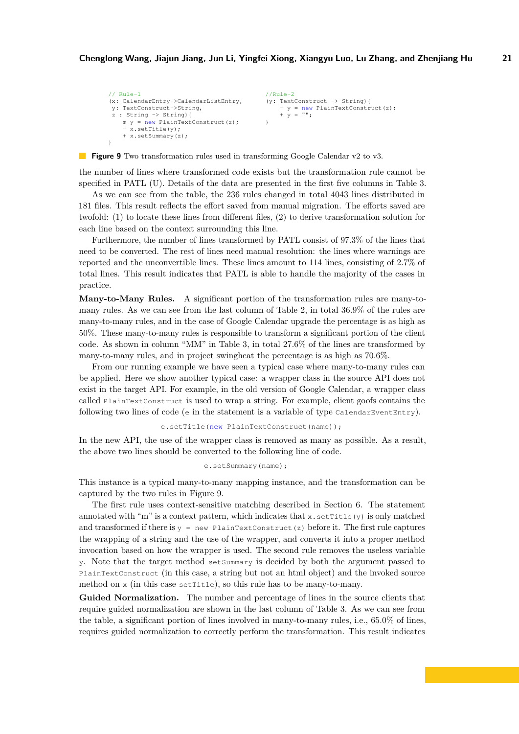```
// Rule-1
(x: CalendarEntry->CalendarListEntry,
y: TextConstruct->String,
 \bar{z} : String \rightarrow String) {
   m y = new PlainTextConstruct(z);- x.setTitle(y);+ x.setSummary(z);
}
                                                //Rule-2
                                                (y: TextConstruct -> String){
                                                    - v = new PlainTextConstruct(z);+ \bar{y} = "";
                                                }
```
**Figure 9** Two transformation rules used in transforming Google Calendar v2 to v3.

the number of lines where transformed code exists but the transformation rule cannot be specified in PATL (U). Details of the data are presented in the first five columns in Table [3.](#page-19-1)

As we can see from the table, the 236 rules changed in total 4043 lines distributed in 181 files. This result reflects the effort saved from manual migration. The efforts saved are twofold: (1) to locate these lines from different files, (2) to derive transformation solution for each line based on the context surrounding this line.

Furthermore, the number of lines transformed by PATL consist of 97.3% of the lines that need to be converted. The rest of lines need manual resolution: the lines where warnings are reported and the unconvertible lines. These lines amount to 114 lines, consisting of 2.7% of total lines. This result indicates that PATL is able to handle the majority of the cases in practice.

**Many-to-Many Rules.** A significant portion of the transformation rules are many-tomany rules. As we can see from the last column of Table [2,](#page-19-0) in total 36.9% of the rules are many-to-many rules, and in the case of Google Calendar upgrade the percentage is as high as 50%. These many-to-many rules is responsible to transform a significant portion of the client code. As shown in column "MM" in Table [3,](#page-19-1) in total 27.6% of the lines are transformed by many-to-many rules, and in project swingheat the percentage is as high as 70.6%.

From our running example we have seen a typical case where many-to-many rules can be applied. Here we show another typical case: a wrapper class in the source API does not exist in the target API. For example, in the old version of Google Calendar, a wrapper class called PlainTextConstruct is used to wrap a string. For example, client goofs contains the following two lines of code ( $\epsilon$  in the statement is a variable of type CalendarEventEntry).

```
e.setTitle(new PlainTextConstruct(name));
```
In the new API, the use of the wrapper class is removed as many as possible. As a result, the above two lines should be converted to the following line of code.

```
e.setSummary(name);
```
This instance is a typical many-to-many mapping instance, and the transformation can be captured by the two rules in Figure [9.](#page-20-0)

The first rule uses context-sensitive matching described in Section [6.](#page-17-0) The statement annotated with "m" is a context pattern, which indicates that  $x$ . set Title(y) is only matched and transformed if there is  $y = new$  PlainTextConstruct(z) before it. The first rule captures the wrapping of a string and the use of the wrapper, and converts it into a proper method invocation based on how the wrapper is used. The second rule removes the useless variable y. Note that the target method setSummary is decided by both the argument passed to PlainTextConstruct (in this case, a string but not an html object) and the invoked source method on  $x$  (in this case set Title), so this rule has to be many-to-many.

**Guided Normalization.** The number and percentage of lines in the source clients that require guided normalization are shown in the last column of Table [3.](#page-19-1) As we can see from the table, a significant portion of lines involved in many-to-many rules, i.e., 65.0% of lines, requires guided normalization to correctly perform the transformation. This result indicates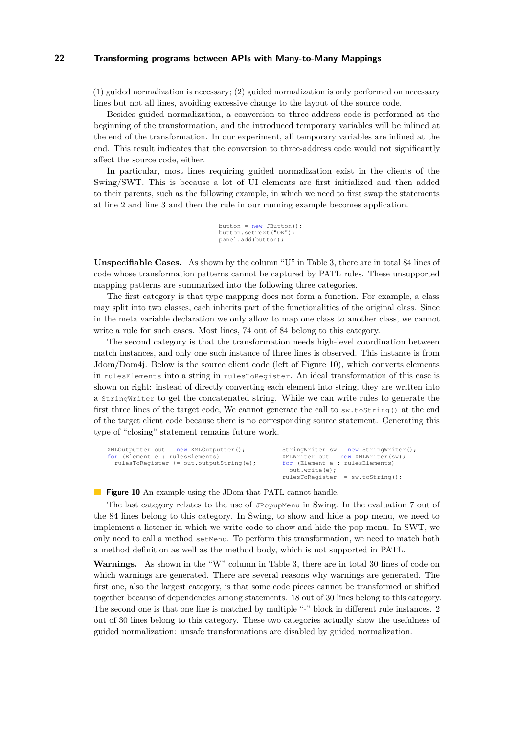(1) guided normalization is necessary; (2) guided normalization is only performed on necessary lines but not all lines, avoiding excessive change to the layout of the source code.

Besides guided normalization, a conversion to three-address code is performed at the beginning of the transformation, and the introduced temporary variables will be inlined at the end of the transformation. In our experiment, all temporary variables are inlined at the end. This result indicates that the conversion to three-address code would not significantly affect the source code, either.

In particular, most lines requiring guided normalization exist in the clients of the Swing/SWT. This is because a lot of UI elements are first initialized and then added to their parents, such as the following example, in which we need to first swap the statements at line 2 and line 3 and then the rule in our running example becomes application.

```
button = new JButton();
button.setText("OK");
panel.add(button);
```
**Unspecifiable Cases.** As shown by the column "U" in Table [3,](#page-19-1) there are in total 84 lines of code whose transformation patterns cannot be captured by PATL rules. These unsupported mapping patterns are summarized into the following three categories.

The first category is that type mapping does not form a function. For example, a class may split into two classes, each inherits part of the functionalities of the original class. Since in the meta variable declaration we only allow to map one class to another class, we cannot write a rule for such cases. Most lines, 74 out of 84 belong to this category.

The second category is that the transformation needs high-level coordination between match instances, and only one such instance of three lines is observed. This instance is from Jdom/Dom4j. Below is the source client code (left of Figure [10\)](#page-21-0), which converts elements in rulesElements into a string in rulesToRegister. An ideal transformation of this case is shown on right: instead of directly converting each element into string, they are written into a StringWriter to get the concatenated string. While we can write rules to generate the first three lines of the target code, We cannot generate the call to sw.toString() at the end of the target client code because there is no corresponding source statement. Generating this type of "closing" statement remains future work.

<span id="page-21-0"></span>

| $XMLOutput$ ter out = new XMLOutputter(); | StringWriter sw = new StringWriter();  |
|-------------------------------------------|----------------------------------------|
| for (Element e : rulesElements)           | XMLWriter out = $new$ XMLWriter (sw) ; |
| rulesToReqister += out.outputString(e);   | for (Element e : rulesElements)        |
|                                           | out.write(e);                          |
|                                           | rulesToRegister += sw.toString();      |
|                                           |                                        |

**Figure 10** An example using the JDom that PATL cannot handle.

The last category relates to the use of JPopupMenu in Swing. In the evaluation 7 out of the 84 lines belong to this category. In Swing, to show and hide a pop menu, we need to implement a listener in which we write code to show and hide the pop menu. In SWT, we only need to call a method setMenu. To perform this transformation, we need to match both a method definition as well as the method body, which is not supported in PATL.

**Warnings.** As shown in the "W" column in Table [3,](#page-19-1) there are in total 30 lines of code on which warnings are generated. There are several reasons why warnings are generated. The first one, also the largest category, is that some code pieces cannot be transformed or shifted together because of dependencies among statements. 18 out of 30 lines belong to this category. The second one is that one line is matched by multiple "-" block in different rule instances. 2 out of 30 lines belong to this category. These two categories actually show the usefulness of guided normalization: unsafe transformations are disabled by guided normalization.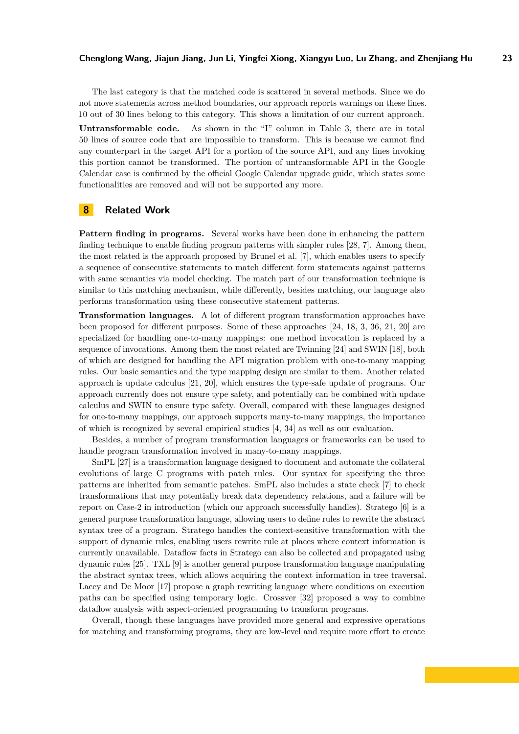The last category is that the matched code is scattered in several methods. Since we do not move statements across method boundaries, our approach reports warnings on these lines. 10 out of 30 lines belong to this category. This shows a limitation of our current approach.

**Untransformable code.** As shown in the "I" column in Table [3,](#page-19-1) there are in total 50 lines of source code that are impossible to transform. This is because we cannot find any counterpart in the target API for a portion of the source API, and any lines invoking this portion cannot be transformed. The portion of untransformable API in the Google Calendar case is confirmed by the official Google Calendar upgrade guide, which states some functionalities are removed and will not be supported any more.

# <span id="page-22-0"></span>**8 Related Work**

**Pattern finding in programs.** Several works have been done in enhancing the pattern finding technique to enable finding program patterns with simpler rules [\[28,](#page-25-10) [7\]](#page-24-7). Among them, the most related is the approach proposed by Brunel et al. [\[7\]](#page-24-7), which enables users to specify a sequence of consecutive statements to match different form statements against patterns with same semantics via model checking. The match part of our transformation technique is similar to this matching mechanism, while differently, besides matching, our language also performs transformation using these consecutive statement patterns.

**Transformation languages.** A lot of different program transformation approaches have been proposed for different purposes. Some of these approaches [\[24,](#page-24-4) [18,](#page-24-5) [3,](#page-24-13) [36,](#page-25-11) [21,](#page-24-14) [20\]](#page-24-15) are specialized for handling one-to-many mappings: one method invocation is replaced by a sequence of invocations. Among them the most related are Twinning [\[24\]](#page-24-4) and SWIN [\[18\]](#page-24-5), both of which are designed for handling the API migration problem with one-to-many mapping rules. Our basic semantics and the type mapping design are similar to them. Another related approach is update calculus [\[21,](#page-24-14) [20\]](#page-24-15), which ensures the type-safe update of programs. Our approach currently does not ensure type safety, and potentially can be combined with update calculus and SWIN to ensure type safety. Overall, compared with these languages designed for one-to-many mappings, our approach supports many-to-many mappings, the importance of which is recognized by several empirical studies [\[4,](#page-24-6) [34\]](#page-25-1) as well as our evaluation.

Besides, a number of program transformation languages or frameworks can be used to handle program transformation involved in many-to-many mappings.

SmPL [\[27\]](#page-25-2) is a transformation language designed to document and automate the collateral evolutions of large C programs with patch rules. Our syntax for specifying the three patterns are inherited from semantic patches. SmPL also includes a state check [\[7\]](#page-24-7) to check transformations that may potentially break data dependency relations, and a failure will be report on Case-2 in introduction (which our approach successfully handles). Stratego [\[6\]](#page-24-2) is a general purpose transformation language, allowing users to define rules to rewrite the abstract syntax tree of a program. Stratego handles the context-sensitive transformation with the support of dynamic rules, enabling users rewrite rule at places where context information is currently unavailable. Dataflow facts in Stratego can also be collected and propagated using dynamic rules [\[25\]](#page-25-12). TXL [\[9\]](#page-24-3) is another general purpose transformation language manipulating the abstract syntax trees, which allows acquiring the context information in tree traversal. Lacey and De Moor [\[17\]](#page-24-16) propose a graph rewriting language where conditions on execution paths can be specified using temporary logic. Crossver [\[32\]](#page-25-13) proposed a way to combine dataflow analysis with aspect-oriented programming to transform programs.

Overall, though these languages have provided more general and expressive operations for matching and transforming programs, they are low-level and require more effort to create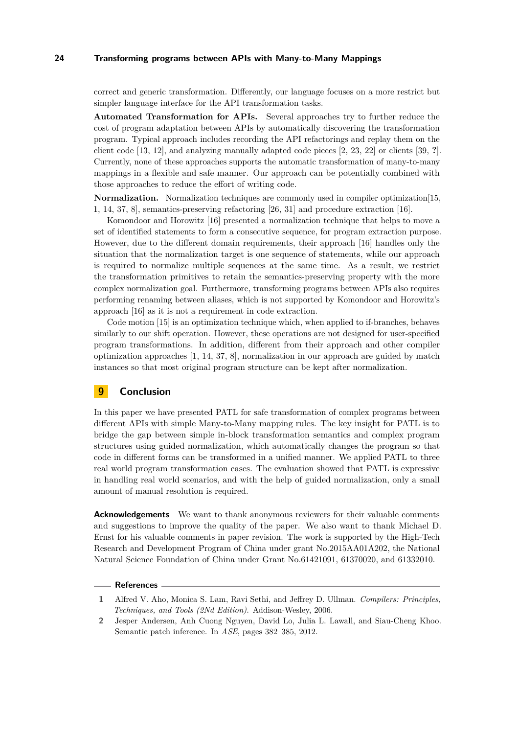correct and generic transformation. Differently, our language focuses on a more restrict but simpler language interface for the API transformation tasks.

**Automated Transformation for APIs.** Several approaches try to further reduce the cost of program adaptation between APIs by automatically discovering the transformation program. Typical approach includes recording the API refactorings and replay them on the client code [\[13,](#page-24-12) [12\]](#page-24-17), and analyzing manually adapted code pieces [\[2,](#page-23-2) [23,](#page-24-18) [22\]](#page-24-19) or clients [\[39,](#page-25-14) **?**]. Currently, none of these approaches supports the automatic transformation of many-to-many mappings in a flexible and safe manner. Our approach can be potentially combined with those approaches to reduce the effort of writing code.

**Normalization.** Normalization techniques are commonly used in compiler optimization [\[15,](#page-24-20) [1,](#page-23-0) [14,](#page-24-9) [37,](#page-25-4) [8\]](#page-24-8), semantics-preserving refactoring [\[26,](#page-25-6) [31\]](#page-25-7) and procedure extraction [\[16\]](#page-24-21).

Komondoor and Horowitz [\[16\]](#page-24-21) presented a normalization technique that helps to move a set of identified statements to form a consecutive sequence, for program extraction purpose. However, due to the different domain requirements, their approach [\[16\]](#page-24-21) handles only the situation that the normalization target is one sequence of statements, while our approach is required to normalize multiple sequences at the same time. As a result, we restrict the transformation primitives to retain the semantics-preserving property with the more complex normalization goal. Furthermore, transforming programs between APIs also requires performing renaming between aliases, which is not supported by Komondoor and Horowitz's approach [\[16\]](#page-24-21) as it is not a requirement in code extraction.

Code motion [\[15\]](#page-24-20) is an optimization technique which, when applied to if-branches, behaves similarly to our shift operation. However, these operations are not designed for user-specified program transformations. In addition, different from their approach and other compiler optimization approaches [\[1,](#page-23-0) [14,](#page-24-9) [37,](#page-25-4) [8\]](#page-24-8), normalization in our approach are guided by match instances so that most original program structure can be kept after normalization.

# <span id="page-23-1"></span>**9 Conclusion**

In this paper we have presented PATL for safe transformation of complex programs between different APIs with simple Many-to-Many mapping rules. The key insight for PATL is to bridge the gap between simple in-block transformation semantics and complex program structures using guided normalization, which automatically changes the program so that code in different forms can be transformed in a unified manner. We applied PATL to three real world program transformation cases. The evaluation showed that PATL is expressive in handling real world scenarios, and with the help of guided normalization, only a small amount of manual resolution is required.

**Acknowledgements** We want to thank anonymous reviewers for their valuable comments and suggestions to improve the quality of the paper. We also want to thank Michael D. Ernst for his valuable comments in paper revision. The work is supported by the High-Tech Research and Development Program of China under grant No.2015AA01A202, the National Natural Science Foundation of China under Grant No.61421091, 61370020, and 61332010.

#### **References**

<span id="page-23-0"></span>**<sup>1</sup>** Alfred V. Aho, Monica S. Lam, Ravi Sethi, and Jeffrey D. Ullman. *Compilers: Principles, Techniques, and Tools (2Nd Edition)*. Addison-Wesley, 2006.

<span id="page-23-2"></span>**<sup>2</sup>** Jesper Andersen, Anh Cuong Nguyen, David Lo, Julia L. Lawall, and Siau-Cheng Khoo. Semantic patch inference. In *ASE*, pages 382–385, 2012.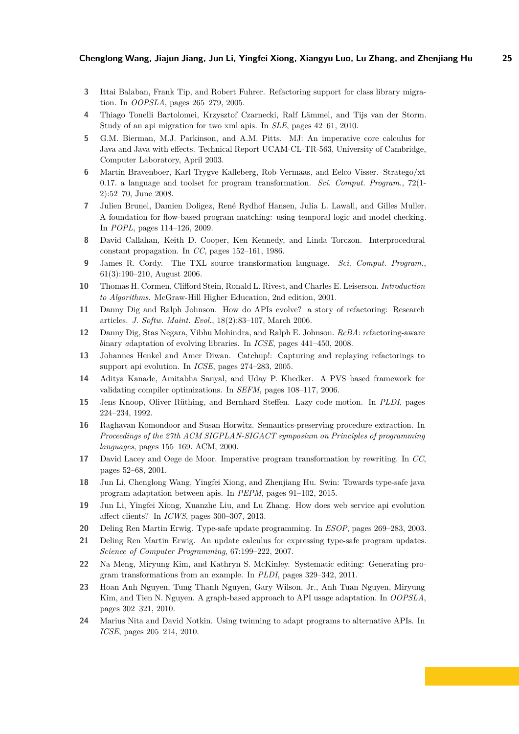- <span id="page-24-13"></span>**3** Ittai Balaban, Frank Tip, and Robert Fuhrer. Refactoring support for class library migration. In *OOPSLA*, pages 265–279, 2005.
- <span id="page-24-6"></span>**4** Thiago Tonelli Bartolomei, Krzysztof Czarnecki, Ralf Lämmel, and Tijs van der Storm. Study of an api migration for two xml apis. In *SLE*, pages 42–61, 2010.
- <span id="page-24-10"></span>**5** G.M. Bierman, M.J. Parkinson, and A.M. Pitts. MJ: An imperative core calculus for Java and Java with effects. Technical Report UCAM-CL-TR-563, University of Cambridge, Computer Laboratory, April 2003.
- <span id="page-24-2"></span>**6** Martin Bravenboer, Karl Trygve Kalleberg, Rob Vermaas, and Eelco Visser. Stratego/xt 0.17. a language and toolset for program transformation. *Sci. Comput. Program.*, 72(1- 2):52–70, June 2008.
- <span id="page-24-7"></span>**7** Julien Brunel, Damien Doligez, René Rydhof Hansen, Julia L. Lawall, and Gilles Muller. A foundation for flow-based program matching: using temporal logic and model checking. In *POPL*, pages 114–126, 2009.
- <span id="page-24-8"></span>**8** David Callahan, Keith D. Cooper, Ken Kennedy, and Linda Torczon. Interprocedural constant propagation. In *CC*, pages 152–161, 1986.
- <span id="page-24-3"></span>**9** James R. Cordy. The TXL source transformation language. *Sci. Comput. Program.*, 61(3):190–210, August 2006.
- <span id="page-24-11"></span>**10** Thomas H. Cormen, Clifford Stein, Ronald L. Rivest, and Charles E. Leiserson. *Introduction to Algorithms*. McGraw-Hill Higher Education, 2nd edition, 2001.
- <span id="page-24-0"></span>**11** Danny Dig and Ralph Johnson. How do APIs evolve? a story of refactoring: Research articles. *J. Softw. Maint. Evol.*, 18(2):83–107, March 2006.
- <span id="page-24-17"></span>**12** Danny Dig, Stas Negara, Vibhu Mohindra, and Ralph E. Johnson. *ReBA*: *re*factoring-aware *b*inary *a*daptation of evolving libraries. In *ICSE*, pages 441–450, 2008.
- <span id="page-24-12"></span>**13** Johannes Henkel and Amer Diwan. Catchup!: Capturing and replaying refactorings to support api evolution. In *ICSE*, pages 274–283, 2005.
- <span id="page-24-9"></span>**14** Aditya Kanade, Amitabha Sanyal, and Uday P. Khedker. A PVS based framework for validating compiler optimizations. In *SEFM*, pages 108–117, 2006.
- <span id="page-24-20"></span>**15** Jens Knoop, Oliver Rüthing, and Bernhard Steffen. Lazy code motion. In *PLDI*, pages 224–234, 1992.
- <span id="page-24-21"></span>**16** Raghavan Komondoor and Susan Horwitz. Semantics-preserving procedure extraction. In *Proceedings of the 27th ACM SIGPLAN-SIGACT symposium on Principles of programming languages*, pages 155–169. ACM, 2000.
- <span id="page-24-16"></span>**17** David Lacey and Oege de Moor. Imperative program transformation by rewriting. In *CC*, pages 52–68, 2001.
- <span id="page-24-5"></span>**18** Jun Li, Chenglong Wang, Yingfei Xiong, and Zhenjiang Hu. Swin: Towards type-safe java program adaptation between apis. In *PEPM*, pages 91–102, 2015.
- <span id="page-24-1"></span>**19** Jun Li, Yingfei Xiong, Xuanzhe Liu, and Lu Zhang. How does web service api evolution affect clients? In *ICWS*, pages 300–307, 2013.
- <span id="page-24-15"></span>**20** Deling Ren Martin Erwig. Type-safe update programming. In *ESOP*, pages 269–283, 2003.
- <span id="page-24-14"></span>**21** Deling Ren Martin Erwig. An update calculus for expressing type-safe program updates. *Science of Computer Programming*, 67:199–222, 2007.
- <span id="page-24-19"></span>**22** Na Meng, Miryung Kim, and Kathryn S. McKinley. Systematic editing: Generating program transformations from an example. In *PLDI*, pages 329–342, 2011.
- <span id="page-24-18"></span>**23** Hoan Anh Nguyen, Tung Thanh Nguyen, Gary Wilson, Jr., Anh Tuan Nguyen, Miryung Kim, and Tien N. Nguyen. A graph-based approach to API usage adaptation. In *OOPSLA*, pages 302–321, 2010.
- <span id="page-24-4"></span>**24** Marius Nita and David Notkin. Using twinning to adapt programs to alternative APIs. In *ICSE*, pages 205–214, 2010.